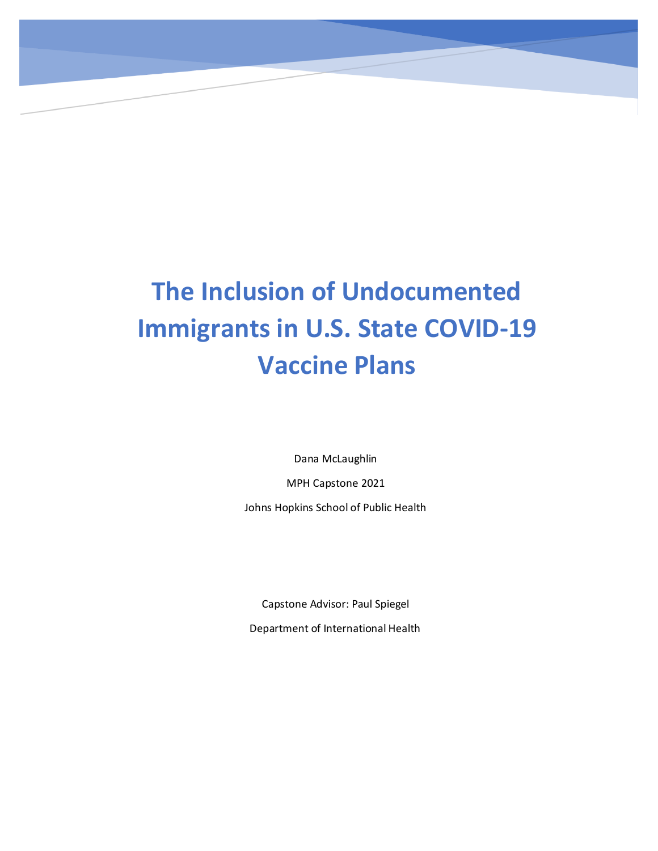# **The Inclusion of Undocumented Immigrants in U.S. State COVID-19 Vaccine Plans**

Dana McLaughlin MPH Capstone 2021 Johns Hopkins School of Public Health

Capstone Advisor: Paul Spiegel

Department of International Health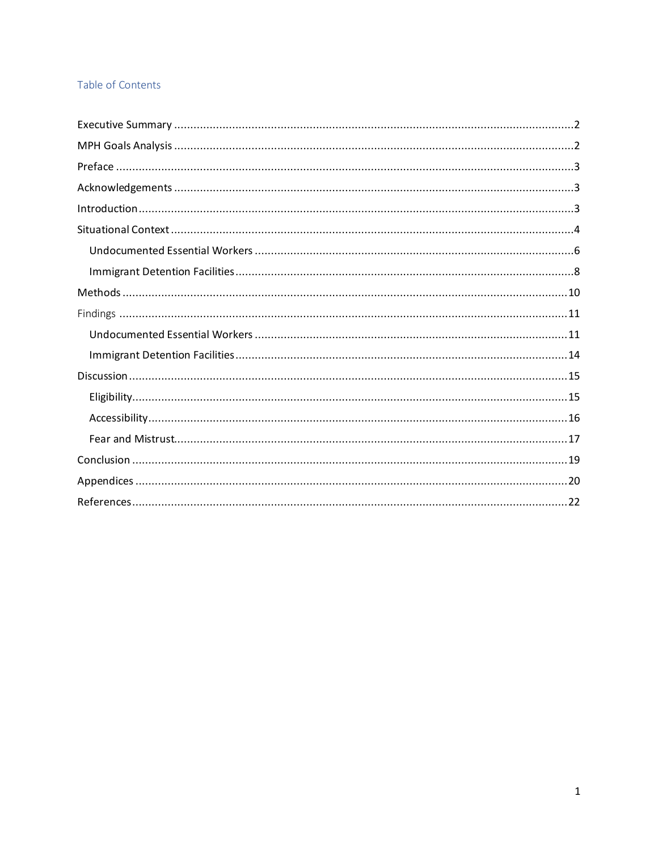# Table of Contents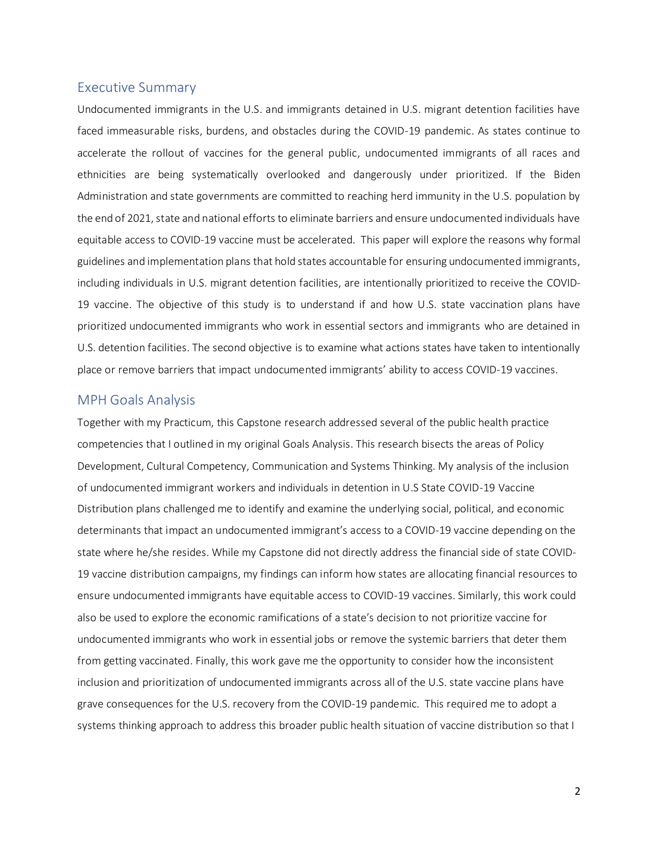### <span id="page-2-0"></span>Executive Summary

Undocumented immigrants in the U.S. and immigrants detained in U.S. migrant detention facilities have faced immeasurable risks, burdens, and obstacles during the COVID-19 pandemic. As states continue to accelerate the rollout of vaccines for the general public, undocumented immigrants of all races and ethnicities are being systematically overlooked and dangerously under prioritized. If the Biden Administration and state governments are committed to reaching herd immunity in the U.S. population by the end of 2021, state and national efforts to eliminate barriers and ensure undocumented individuals have equitable access to COVID-19 vaccine must be accelerated. This paper will explore the reasons why formal guidelines and implementation plans that hold states accountable for ensuring undocumented immigrants, including individuals in U.S. migrant detention facilities, are intentionally prioritized to receive the COVID-19 vaccine. The objective of this study is to understand if and how U.S. state vaccination plans have prioritized undocumented immigrants who work in essential sectors and immigrants who are detained in U.S. detention facilities. The second objective is to examine what actions states have taken to intentionally place or remove barriers that impact undocumented immigrants' ability to access COVID-19 vaccines.

# <span id="page-2-1"></span>MPH Goals Analysis

Together with my Practicum, this Capstone research addressed several of the public health practice competencies that I outlined in my original Goals Analysis. This research bisects the areas of Policy Development, Cultural Competency, Communication and Systems Thinking. My analysis of the inclusion of undocumented immigrant workers and individuals in detention in U.S State COVID-19 Vaccine Distribution plans challenged me to identify and examine the underlying social, political, and economic determinants that impact an undocumented immigrant's access to a COVID-19 vaccine depending on the state where he/she resides. While my Capstone did not directly address the financial side of state COVID-19 vaccine distribution campaigns, my findings can inform how states are allocating financial resources to ensure undocumented immigrants have equitable access to COVID-19 vaccines. Similarly, this work could also be used to explore the economic ramifications of a state's decision to not prioritize vaccine for undocumented immigrants who work in essential jobs or remove the systemic barriers that deter them from getting vaccinated. Finally, this work gave me the opportunity to consider how the inconsistent inclusion and prioritization of undocumented immigrants across all of the U.S. state vaccine plans have grave consequences for the U.S. recovery from the COVID-19 pandemic. This required me to adopt a systems thinking approach to address this broader public health situation of vaccine distribution so that I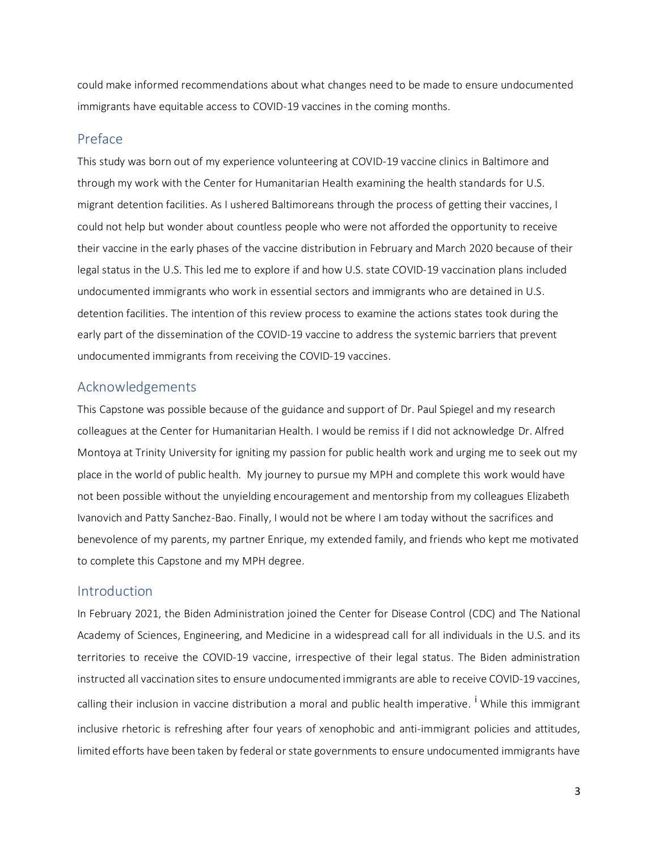could make informed recommendations about what changes need to be made to ensure undocumented immigrants have equitable access to COVID-19 vaccines in the coming months.

# <span id="page-3-0"></span>Preface

This study was born out of my experience volunteering at COVID-19 vaccine clinics in Baltimore and through my work with the Center for Humanitarian Health examining the health standards for U.S. migrant detention facilities. As I ushered Baltimoreans through the process of getting their vaccines, I could not help but wonder about countless people who were not afforded the opportunity to receive their vaccine in the early phases of the vaccine distribution in February and March 2020 because of their legal status in the U.S. This led me to explore if and how U.S. state COVID-19 vaccination plans included undocumented immigrants who work in essential sectors and immigrants who are detained in U.S. detention facilities. The intention of this review process to examine the actions states took during the early part of the dissemination of the COVID-19 vaccine to address the systemic barriers that prevent undocumented immigrants from receiving the COVID-19 vaccines.

# <span id="page-3-1"></span>Acknowledgements

This Capstone was possible because of the guidance and support of Dr. Paul Spiegel and my research colleagues at the Center for Humanitarian Health. I would be remiss if I did not acknowledge Dr. Alfred Montoya at Trinity University for igniting my passion for public health work and urging me to seek out my place in the world of public health. My journey to pursue my MPH and complete this work would have not been possible without the unyielding encouragement and mentorship from my colleagues Elizabeth Ivanovich and Patty Sanchez-Bao. Finally, I would not be where I am today without the sacrifices and benevolence of my parents, my partner Enrique, my extended family, and friends who kept me motivated to complete this Capstone and my MPH degree.

# <span id="page-3-2"></span>Introduction

In February 2021, the Biden Administration joined the Center for Disease Control (CDC) and The National Academy of Sciences, Engineering, and Medicine in a widespread call for all individuals in the U.S. and its territories to receive the COVID-19 vaccine, irrespective of their legal status. The Biden administration instructed all vaccination sites to ensure undocumented immigrants are able to receive COVID-19 vaccines, calling their inclusion in vaccine distribution a moral and public health imperative. <sup>I</sup> While this immigrant inclusive rhetoric is refreshing after four years of xenophobic and anti-immigrant policies and attitudes, limited efforts have been taken by federal or state governments to ensure undocumented immigrants have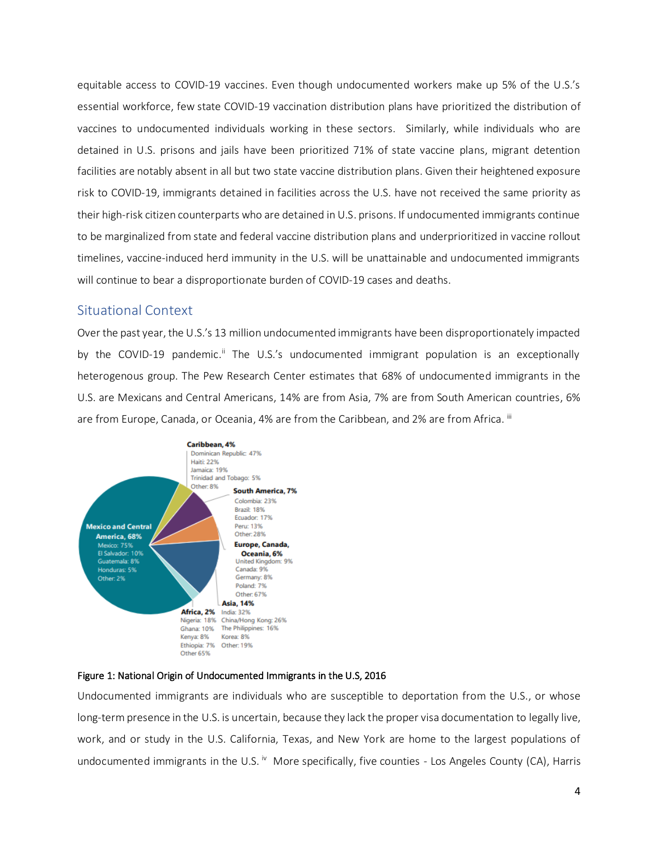equitable access to COVID-19 vaccines. Even though undocumented workers make up 5% of the U.S.'s essential workforce, few state COVID-19 vaccination distribution plans have prioritized the distribution of vaccines to undocumented individuals working in these sectors. Similarly, while individuals who are detained in U.S. prisons and jails have been prioritized 71% of state vaccine plans, migrant detention facilities are notably absent in all but two state vaccine distribution plans. Given their heightened exposure risk to COVID-19, immigrants detained in facilities across the U.S. have not received the same priority as their high-risk citizen counterparts who are detained in U.S. prisons. If undocumented immigrants continue to be marginalized from state and federal vaccine distribution plans and underprioritized in vaccine rollout timelines, vaccine-induced herd immunity in the U.S. will be unattainable and undocumented immigrants will continue to bear a disproportionate burden of COVID-19 cases and deaths.

# <span id="page-4-0"></span>Situational Context

Over the past year, the U.S.'s 13 million undocumented immigrants have been disproportionately impacted by the COVID-19 pandemic.<sup>ii</sup> The U.S.'s undocumented immigrant population is an exceptionally heterogenous group. The Pew Research Center estimates that 68% of undocumented immigrants in the U.S. are Mexicans and Central Americans, 14% are from Asia, 7% are from South American countries, 6% are from Europe, Canada, or Oceania, 4% are from the Caribbean, and 2% are from Africa. "I



#### Figure 1: National Origin of Undocumented Immigrants in the U.S, 2016

Undocumented immigrants are individuals who are susceptible to deportation from the U.S., or whose long-term presence in the U.S. is uncertain, because they lack the proper visa documentation to legally live, work, and or study in the U.S. California, Texas, and New York are home to the largest populations of undocumented immigrants in the U.S. <sup>iv</sup> More specifically, five counties - Los Angeles County (CA), Harris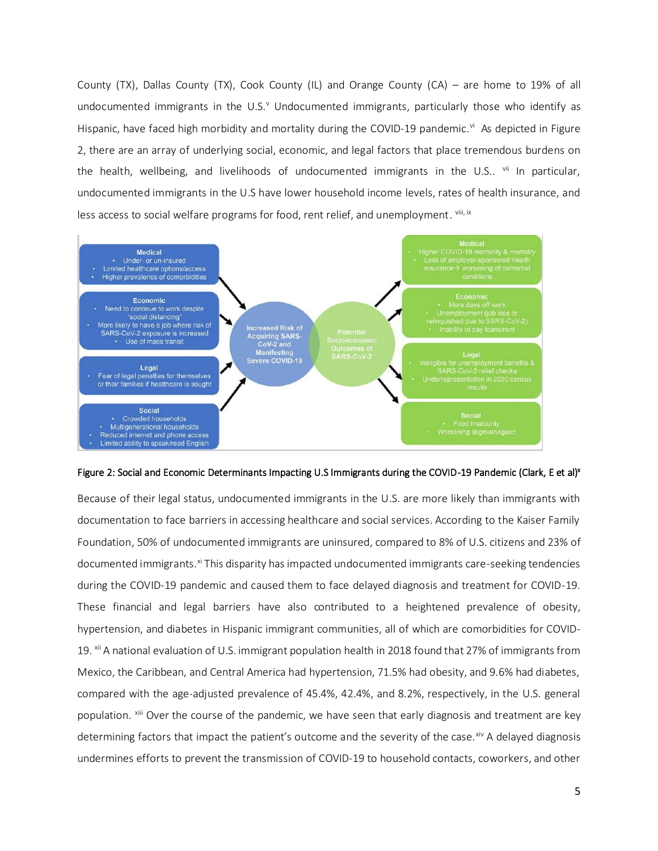County (TX), Dallas County (TX), Cook County (IL) and Orange County (CA) – are home to 19% of all undocumented immigrants in the U.S.<sup>v</sup> Undocumented immigrants, particularly those who identify as Hispanic, have faced high morbidity and mortality during the COVID-19 pandemic.<sup>vi</sup> As depicted in Figure 2, there are an array of underlying social, economic, and legal factors that place tremendous burdens on the health, wellbeing, and livelihoods of undocumented immigrants in the U.S.. <sup>vii</sup> In particular, undocumented immigrants in the U.S have lower household income levels, rates of health insurance, and less access to social welfare programs for food, rent relief, and unemployment. <sup>viii, ix</sup>



Figure 2: Social and Economic Determinants Impacting U.S Immigrants during the COVID-19 Pandemic (Clark, E et al)<sup>x</sup>

Because of their legal status, undocumented immigrants in the U.S. are more likely than immigrants with documentation to face barriers in accessing healthcare and social services. According to the Kaiser Family Foundation, 50% of undocumented immigrants are uninsured, compared to 8% of U.S. citizens and 23% of documented immigrants.<sup>xi</sup> This disparity has impacted undocumented immigrants care-seeking tendencies during the COVID-19 pandemic and caused them to face delayed diagnosis and treatment for COVID-19. These financial and legal barriers have also contributed to a heightened prevalence of obesity, hypertension, and diabetes in Hispanic immigrant communities, all of which are comorbidities for COVID-19. <sup>xii</sup> A national evaluation of U.S. immigrant population health in 2018 found that 27% of immigrants from Mexico, the Caribbean, and Central America had hypertension, 71.5% had obesity, and 9.6% had diabetes, compared with the age-adjusted prevalence of 45.4%, 42.4%, and 8.2%, respectively, in the U.S. general population. <sup>xiii</sup> Over the course of the pandemic, we have seen that early diagnosis and treatment are key determining factors that impact the patient's outcome and the severity of the case. $x^i$  A delayed diagnosis undermines efforts to prevent the transmission of COVID-19 to household contacts, coworkers, and other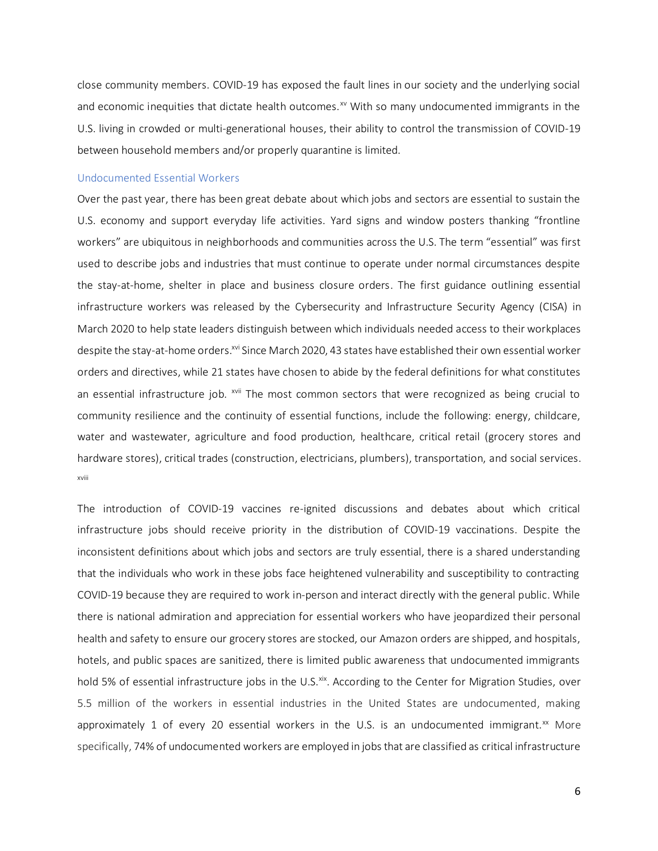close community members. COVID-19 has exposed the fault lines in our society and the underlying social and economic inequities that dictate health outcomes.<sup>xv</sup> With so many undocumented immigrants in the U.S. living in crowded or multi-generational houses, their ability to control the transmission of COVID-19 between household members and/or properly quarantine is limited.

#### <span id="page-6-0"></span>Undocumented Essential Workers

Over the past year, there has been great debate about which jobs and sectors are essential to sustain the U.S. economy and support everyday life activities. Yard signs and window posters thanking "frontline workers" are ubiquitous in neighborhoods and communities across the U.S. The term "essential" was first used to describe jobs and industries that must continue to operate under normal circumstances despite the stay-at-home, shelter in place and business closure orders. The first guidance outlining essential infrastructure workers was released by the Cybersecurity and Infrastructure Security Agency (CISA) in March 2020 to help state leaders distinguish between which individuals needed access to their workplaces despite the stay-at-home orders.<sup>xvi</sup> Since March 2020, 43 states have established their own essential worker orders and directives, while 21 states have chosen to abide by the federal definitions for what constitutes an essential infrastructure job. <sup>xvii</sup> The most common sectors that were recognized as being crucial to community resilience and the continuity of essential functions, include the following: energy, childcare, water and wastewater, agriculture and food production, healthcare, critical retail (grocery stores and hardware stores), critical trades (construction, electricians, plumbers), transportation, and social services. xviii

The introduction of COVID-19 vaccines re-ignited discussions and debates about which critical infrastructure jobs should receive priority in the distribution of COVID-19 vaccinations. Despite the inconsistent definitions about which jobs and sectors are truly essential, there is a shared understanding that the individuals who work in these jobs face heightened vulnerability and susceptibility to contracting COVID-19 because they are required to work in-person and interact directly with the general public. While there is national admiration and appreciation for essential workers who have jeopardized their personal health and safety to ensure our grocery stores are stocked, our Amazon orders are shipped, and hospitals, hotels, and public spaces are sanitized, there is limited public awareness that undocumented immigrants hold 5% of essential infrastructure jobs in the U.S.<sup>xix</sup>. According to the Center for Migration Studies, over 5.5 million of the workers in essential industries in the United States are undocumented, making approximately 1 of every 20 essential workers in the U.S. is an undocumented immigrant. $^{xx}$  More specifically, 74% of undocumented workers are employed in jobs that are classified as critical infrastructure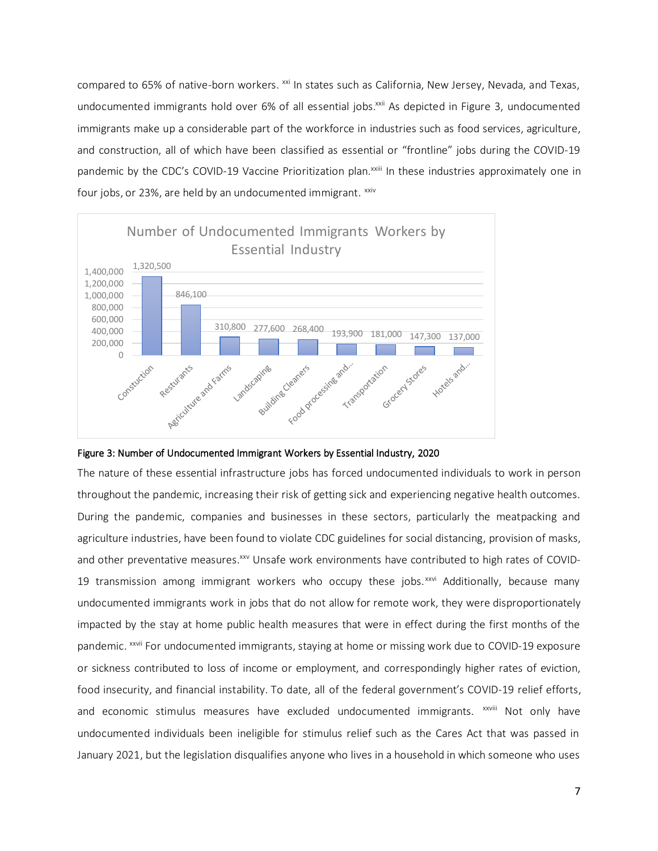compared to 65% of native-born workers. <sup>xxi</sup> In states such as California, New Jersey, Nevada, and Texas, undocumented immigrants hold over 6% of all essential jobs.<sup>xxii</sup> As depicted in Figure 3, undocumented immigrants make up a considerable part of the workforce in industries such as food services, agriculture, and construction, all of which have been classified as essential or "frontline" jobs during the COVID-19 pandemic by the CDC's COVID-19 Vaccine Prioritization plan.<sup>xxiii</sup> In these industries approximately one in four jobs, or 23%, are held by an undocumented immigrant. xxiv





The nature of these essential infrastructure jobs has forced undocumented individuals to work in person throughout the pandemic, increasing their risk of getting sick and experiencing negative health outcomes. During the pandemic, companies and businesses in these sectors, particularly the meatpacking and agriculture industries, have been found to violate CDC guidelines for social distancing, provision of masks, and other preventative measures.<sup>xxv</sup> Unsafe work environments have contributed to high rates of COVID-19 transmission among immigrant workers who occupy these jobs. $^{xxvi}$  Additionally, because many undocumented immigrants work in jobs that do not allow for remote work, they were disproportionately impacted by the stay at home public health measures that were in effect during the first months of the pandemic. <sup>xxvii</sup> For undocumented immigrants, staying at home or missing work due to COVID-19 exposure or sickness contributed to loss of income or employment, and correspondingly higher rates of eviction, food insecurity, and financial instability. To date, all of the federal government's COVID-19 relief efforts, and economic stimulus measures have excluded undocumented immigrants. XXVIII Not only have undocumented individuals been ineligible for stimulus relief such as the Cares Act that was passed in January 2021, but the legislation disqualifies anyone who lives in a household in which someone who uses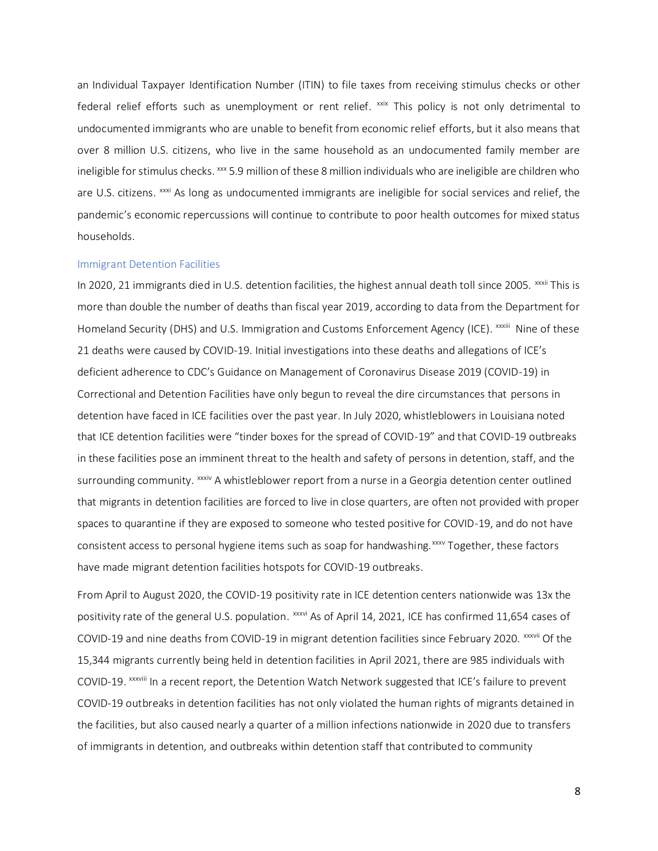an Individual Taxpayer Identification Number (ITIN) to file taxes from receiving stimulus checks or other federal relief efforts such as unemployment or rent relief. <sup>xxix</sup> This policy is not only detrimental to undocumented immigrants who are unable to benefit from economic relief efforts, but it also means that over 8 million U.S. citizens, who live in the same household as an undocumented family member are ineligible for stimulus checks. xxx 5.9 million of these 8 million individuals who are ineligible are children who are U.S. citizens. <sup>xxxi</sup> As long as undocumented immigrants are ineligible for social services and relief, the pandemic's economic repercussions will continue to contribute to poor health outcomes for mixed status households.

#### <span id="page-8-0"></span>Immigrant Detention Facilities

In 2020, 21 immigrants died in U.S. detention facilities, the highest annual death toll since 2005.  $xxxii$  This is more than double the number of deaths than fiscal year 2019, according to data from the Department for Homeland Security (DHS) and U.S. Immigration and Customs Enforcement Agency (ICE). <sup>xxxiii</sup> Nine of these 21 deaths were caused by COVID-19. Initial investigations into these deaths and allegations of ICE's deficient adherence to CDC's Guidance on Management of Coronavirus Disease 2019 (COVID-19) in Correctional and Detention Facilities have only begun to reveal the dire circumstances that persons in detention have faced in ICE facilities over the past year. In July 2020, whistleblowers in Louisiana noted that ICE detention facilities were "tinder boxes for the spread of COVID-19" and that COVID-19 outbreaks in these facilities pose an imminent threat to the health and safety of persons in detention, staff, and the surrounding community.  $x\sin A$  whistleblower report from a nurse in a Georgia detention center outlined that migrants in detention facilities are forced to live in close quarters, are often not provided with proper spaces to quarantine if they are exposed to someone who tested positive for COVID-19, and do not have consistent access to personal hygiene items such as soap for handwashing. *xxx* Together, these factors have made migrant detention facilities hotspots for COVID-19 outbreaks.

From April to August 2020, the COVID-19 positivity rate in ICE detention centers nationwide was 13x the positivity rate of the general U.S. population. <sup>xxxvi</sup> As of April 14, 2021, ICE has confirmed 11,654 cases of COVID-19 and nine deaths from COVID-19 in migrant detention facilities since February 2020. xxxvii Of the 15,344 migrants currently being held in detention facilities in April 2021, there are 985 individuals with COVID-19. XXXVIII In a recent report, the Detention Watch Network suggested that ICE's failure to prevent COVID-19 outbreaks in detention facilities has not only violated the human rights of migrants detained in the facilities, but also caused nearly a quarter of a million infections nationwide in 2020 due to transfers of immigrants in detention, and outbreaks within detention staff that contributed to community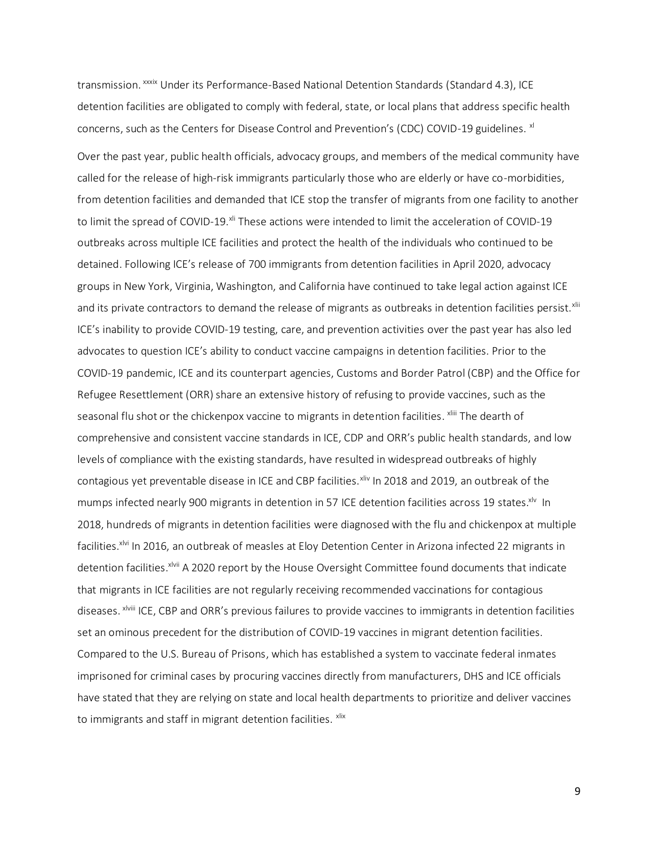transmission. <sup>xxxix</sup> Under its Performance-Based National Detention Standards (Standard 4.3), ICE detention facilities are obligated to comply with federal, state, or local plans that address specific health concerns, such as the Centers for Disease Control and Prevention's (CDC) COVID-19 guidelines. <sup>xl</sup>

Over the past year, public health officials, advocacy groups, and members of the medical community have called for the release of high-risk immigrants particularly those who are elderly or have co-morbidities, from detention facilities and demanded that ICE stop the transfer of migrants from one facility to another to limit the spread of COVID-19.<sup>xli</sup> These actions were intended to limit the acceleration of COVID-19 outbreaks across multiple ICE facilities and protect the health of the individuals who continued to be detained. Following ICE's release of 700 immigrants from detention facilities in April 2020, advocacy groups in New York, Virginia, Washington, and California have continued to take legal action against ICE and its private contractors to demand the release of migrants as outbreaks in detention facilities persist.<sup>xlii</sup> ICE's inability to provide COVID-19 testing, care, and prevention activities over the past year has also led advocates to question ICE's ability to conduct vaccine campaigns in detention facilities. Prior to the COVID-19 pandemic, ICE and its counterpart agencies, Customs and Border Patrol (CBP) and the Office for Refugee Resettlement (ORR) share an extensive history of refusing to provide vaccines, such as the seasonal flu shot or the chickenpox vaccine to migrants in detention facilities. <sup>xliii</sup> The dearth of comprehensive and consistent vaccine standards in ICE, CDP and ORR's public health standards, and low levels of compliance with the existing standards, have resulted in widespread outbreaks of highly contagious yet preventable disease in ICE and CBP facilities. Xliv In 2018 and 2019, an outbreak of the mumps infected nearly 900 migrants in detention in 57 ICE detention facilities across 19 states. XIV In 2018, hundreds of migrants in detention facilities were diagnosed with the flu and chickenpox at multiple facilities.<sup>xlvi</sup> In 2016, an outbreak of measles at Eloy Detention Center in Arizona infected 22 migrants in detention facilities.<sup>xivii</sup> A 2020 report by the House Oversight Committee found documents that indicate that migrants in ICE facilities are not regularly receiving recommended vaccinations for contagious diseases. xlviii ICE, CBP and ORR's previous failures to provide vaccines to immigrants in detention facilities set an ominous precedent for the distribution of COVID-19 vaccines in migrant detention facilities. Compared to the U.S. Bureau of Prisons, which has established a system to vaccinate federal inmates imprisoned for criminal cases by procuring vaccines directly from manufacturers, DHS and ICE officials have stated that they are relying on state and local health departments to prioritize and deliver vaccines to immigrants and staff in migrant detention facilities. <sup>xlix</sup>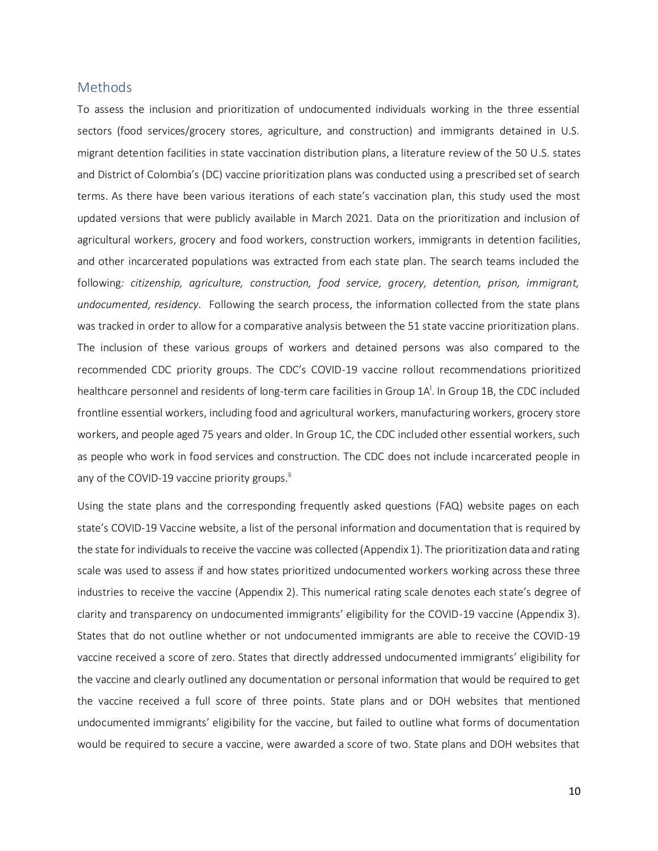# <span id="page-10-0"></span>**Methods**

To assess the inclusion and prioritization of undocumented individuals working in the three essential sectors (food services/grocery stores, agriculture, and construction) and immigrants detained in U.S. migrant detention facilities in state vaccination distribution plans, a literature review of the 50 U.S. states and District of Colombia's (DC) vaccine prioritization plans was conducted using a prescribed set of search terms. As there have been various iterations of each state's vaccination plan, this study used the most updated versions that were publicly available in March 2021. Data on the prioritization and inclusion of agricultural workers, grocery and food workers, construction workers, immigrants in detention facilities, and other incarcerated populations was extracted from each state plan. The search teams included the following*: citizenship, agriculture, construction, food service, grocery, detention, prison, immigrant, undocumented, residency.* Following the search process, the information collected from the state plans was tracked in order to allow for a comparative analysis between the 51 state vaccine prioritization plans. The inclusion of these various groups of workers and detained persons was also compared to the recommended CDC priority groups. The CDC's COVID-19 vaccine rollout recommendations prioritized healthcare personnel and residents of long-term care facilities in Group 1A<sup>I</sup>. In Group 1B, the CDC included frontline essential workers, including food and agricultural workers, manufacturing workers, grocery store workers, and people aged 75 years and older. In Group 1C, the CDC included other essential workers, such as people who work in food services and construction. The CDC does not include incarcerated people in any of the COVID-19 vaccine priority groups.<sup>II</sup>

Using the state plans and the corresponding frequently asked questions (FAQ) website pages on each state's COVID-19 Vaccine website, a list of the personal information and documentation that is required by the state for individuals to receive the vaccine was collected (Appendix 1). The prioritization data and rating scale was used to assess if and how states prioritized undocumented workers working across these three industries to receive the vaccine (Appendix 2). This numerical rating scale denotes each state's degree of clarity and transparency on undocumented immigrants' eligibility for the COVID-19 vaccine (Appendix 3). States that do not outline whether or not undocumented immigrants are able to receive the COVID-19 vaccine received a score of zero. States that directly addressed undocumented immigrants' eligibility for the vaccine and clearly outlined any documentation or personal information that would be required to get the vaccine received a full score of three points. State plans and or DOH websites that mentioned undocumented immigrants' eligibility for the vaccine, but failed to outline what forms of documentation would be required to secure a vaccine, were awarded a score of two. State plans and DOH websites that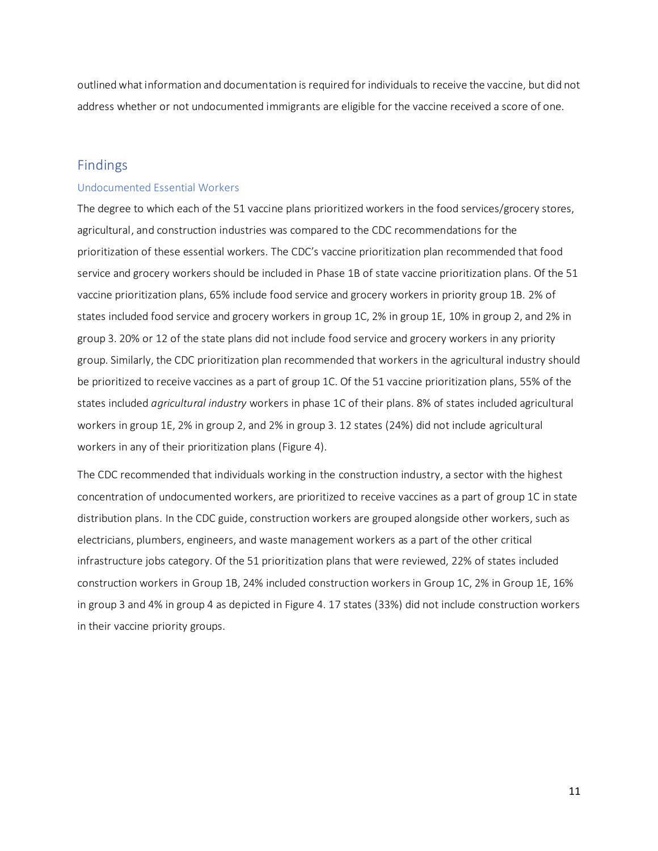outlined what information and documentation is required for individuals to receive the vaccine, but did not address whether or not undocumented immigrants are eligible for the vaccine received a score of one.

# <span id="page-11-0"></span>Findings

#### <span id="page-11-1"></span>Undocumented Essential Workers

The degree to which each of the 51 vaccine plans prioritized workers in the food services/grocery stores, agricultural, and construction industries was compared to the CDC recommendations for the prioritization of these essential workers. The CDC's vaccine prioritization plan recommended that food service and grocery workers should be included in Phase 1B of state vaccine prioritization plans. Of the 51 vaccine prioritization plans, 65% include food service and grocery workers in priority group 1B. 2% of states included food service and grocery workers in group 1C, 2% in group 1E, 10% in group 2, and 2% in group 3. 20% or 12 of the state plans did not include food service and grocery workers in any priority group. Similarly, the CDC prioritization plan recommended that workers in the agricultural industry should be prioritized to receive vaccines as a part of group 1C. Of the 51 vaccine prioritization plans, 55% of the states included *agricultural industry* workers in phase 1C of their plans. 8% of states included agricultural workers in group 1E, 2% in group 2, and 2% in group 3. 12 states (24%) did not include agricultural workers in any of their prioritization plans (Figure 4).

The CDC recommended that individuals working in the construction industry, a sector with the highest concentration of undocumented workers, are prioritized to receive vaccines as a part of group 1C in state distribution plans. In the CDC guide, construction workers are grouped alongside other workers, such as electricians, plumbers, engineers, and waste management workers as a part of the other critical infrastructure jobs category. Of the 51 prioritization plans that were reviewed, 22% of states included construction workers in Group 1B, 24% included construction workers in Group 1C, 2% in Group 1E, 16% in group 3 and 4% in group 4 as depicted in Figure 4. 17 states (33%) did not include construction workers in their vaccine priority groups.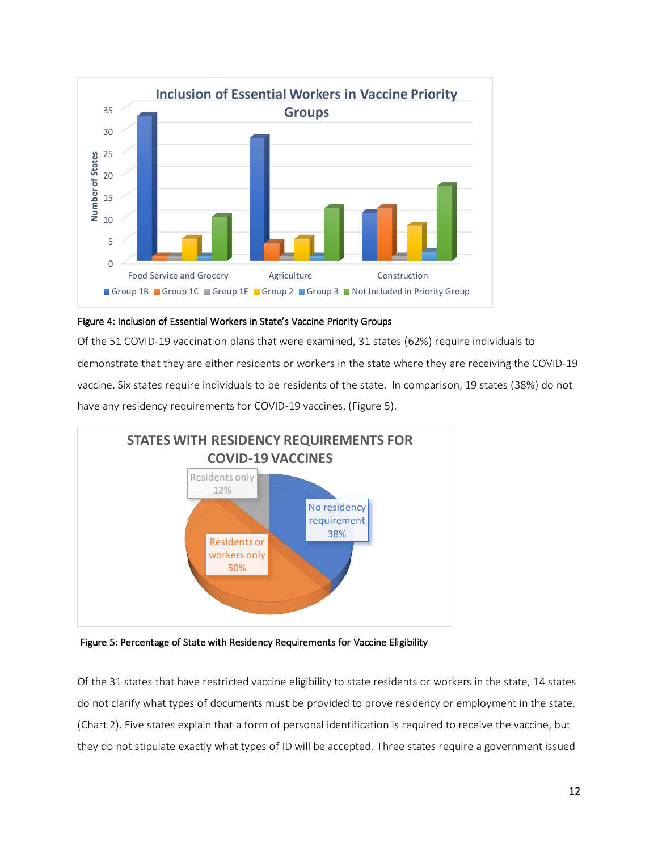

# Figure 4: Inclusion of Essential Workers in State's Vaccine Priority Groups

Of the 51 COVID-19 vaccination plans that were examined, 31 states (62%) require individuals to demonstrate that they are either residents or workers in the state where they are receiving the COVID-19 vaccine. Six states require individuals to be residents of the state. In comparison, 19 states (38%) do not have any residency requirements for COVID-19 vaccines. (Figure 5).



Figure 5: Percentage of State with Residency Requirements for Vaccine Eligibility

Of the 31 states that have restricted vaccine eligibility to state residents or workers in the state, 14 states do not clarify what types of documents must be provided to prove residency or employment in the state. (Chart 2). Five states explain that a form of personal identification is required to receive the vaccine, but they do not stipulate exactly what types of ID will be accepted. Three states require a government issued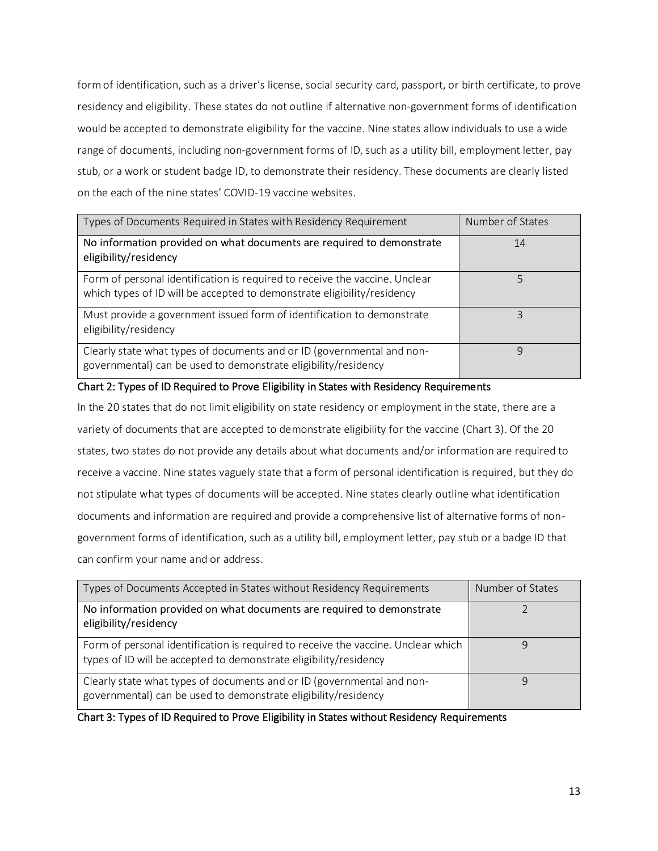form of identification, such as a driver's license, social security card, passport, or birth certificate, to prove residency and eligibility. These states do not outline if alternative non-government forms of identification would be accepted to demonstrate eligibility for the vaccine. Nine states allow individuals to use a wide range of documents, including non-government forms of ID, such as a utility bill, employment letter, pay stub, or a work or student badge ID, to demonstrate their residency. These documents are clearly listed on the each of the nine states' COVID-19 vaccine websites.

| Types of Documents Required in States with Residency Requirement                                                                                       | Number of States |
|--------------------------------------------------------------------------------------------------------------------------------------------------------|------------------|
| No information provided on what documents are required to demonstrate<br>eligibility/residency                                                         | 14               |
| Form of personal identification is required to receive the vaccine. Unclear<br>which types of ID will be accepted to demonstrate eligibility/residency | 5                |
| Must provide a government issued form of identification to demonstrate<br>eligibility/residency                                                        | ς                |
| Clearly state what types of documents and or ID (governmental and non-<br>governmental) can be used to demonstrate eligibility/residency               | q                |

# Chart 2: Types of ID Required to Prove Eligibility in States with Residency Requirements

In the 20 states that do not limit eligibility on state residency or employment in the state, there are a variety of documents that are accepted to demonstrate eligibility for the vaccine (Chart 3). Of the 20 states, two states do not provide any details about what documents and/or information are required to receive a vaccine. Nine states vaguely state that a form of personal identification is required, but they do not stipulate what types of documents will be accepted. Nine states clearly outline what identification documents and information are required and provide a comprehensive list of alternative forms of nongovernment forms of identification, such as a utility bill, employment letter, pay stub or a badge ID that can confirm your name and or address.

| Types of Documents Accepted in States without Residency Requirements                                                                                   | Number of States |
|--------------------------------------------------------------------------------------------------------------------------------------------------------|------------------|
| No information provided on what documents are required to demonstrate<br>eligibility/residency                                                         |                  |
| Form of personal identification is required to receive the vaccine. Unclear which<br>types of ID will be accepted to demonstrate eligibility/residency |                  |
| Clearly state what types of documents and or ID (governmental and non-<br>governmental) can be used to demonstrate eligibility/residency               |                  |

# Chart 3: Types of ID Required to Prove Eligibility in States without Residency Requirements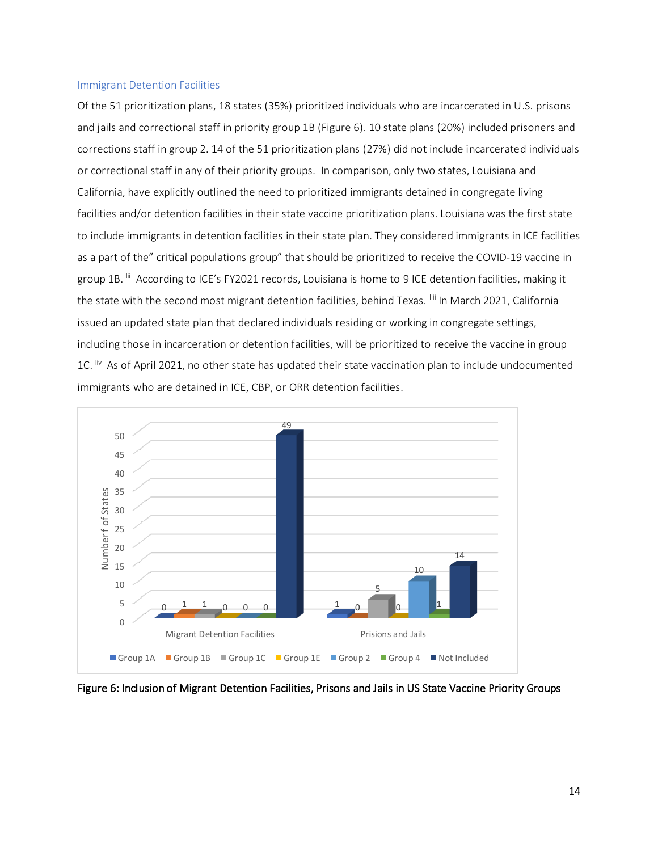#### <span id="page-14-0"></span>Immigrant Detention Facilities

Of the 51 prioritization plans, 18 states (35%) prioritized individuals who are incarcerated in U.S. prisons and jails and correctional staff in priority group 1B (Figure 6). 10 state plans (20%) included prisoners and corrections staff in group 2. 14 of the 51 prioritization plans (27%) did not include incarcerated individuals or correctional staff in any of their priority groups. In comparison, only two states, Louisiana and California, have explicitly outlined the need to prioritized immigrants detained in congregate living facilities and/or detention facilities in their state vaccine prioritization plans. Louisiana was the first state to include immigrants in detention facilities in their state plan. They considered immigrants in ICE facilities as a part of the" critical populations group" that should be prioritized to receive the COVID-19 vaccine in group 1B. <sup>Iii</sup> According to ICE's FY2021 records, Louisiana is home to 9 ICE detention facilities, making it the state with the second most migrant detention facilities, behind Texas. Iii In March 2021, California issued an updated state plan that declared individuals residing or working in congregate settings, including those in incarceration or detention facilities, will be prioritized to receive the vaccine in group 1C. <sup>Iiv</sup> As of April 2021, no other state has updated their state vaccination plan to include undocumented immigrants who are detained in ICE, CBP, or ORR detention facilities.



Figure 6: Inclusion of Migrant Detention Facilities, Prisons and Jails in US State Vaccine Priority Groups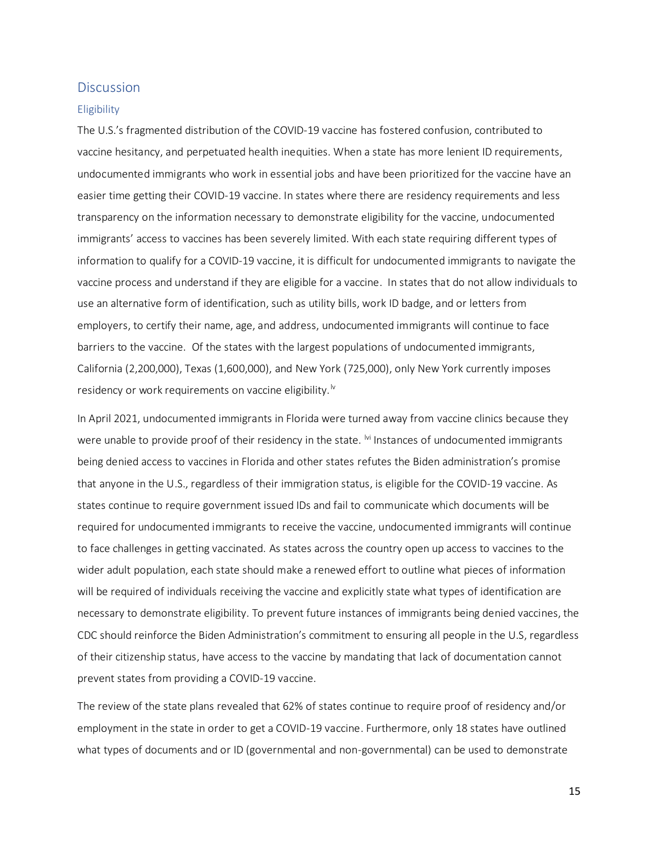# <span id="page-15-0"></span>**Discussion**

#### <span id="page-15-1"></span>**Eligibility**

The U.S.'s fragmented distribution of the COVID-19 vaccine has fostered confusion, contributed to vaccine hesitancy, and perpetuated health inequities. When a state has more lenient ID requirements, undocumented immigrants who work in essential jobs and have been prioritized for the vaccine have an easier time getting their COVID-19 vaccine. In states where there are residency requirements and less transparency on the information necessary to demonstrate eligibility for the vaccine, undocumented immigrants' access to vaccines has been severely limited. With each state requiring different types of information to qualify for a COVID-19 vaccine, it is difficult for undocumented immigrants to navigate the vaccine process and understand if they are eligible for a vaccine. In states that do not allow individuals to use an alternative form of identification, such as utility bills, work ID badge, and or letters from employers, to certify their name, age, and address, undocumented immigrants will continue to face barriers to the vaccine. Of the states with the largest populations of undocumented immigrants, California (2,200,000), Texas (1,600,000), and New York (725,000), only New York currently imposes residency or work requirements on vaccine eligibility.<sup> $\sqrt{v}$ </sup>

In April 2021, undocumented immigrants in Florida were turned away from vaccine clinics because they were unable to provide proof of their residency in the state. <sup>Mi</sup> Instances of undocumented immigrants being denied access to vaccines in Florida and other states refutes the Biden administration's promise that anyone in the U.S., regardless of their immigration status, is eligible for the COVID-19 vaccine. As states continue to require government issued IDs and fail to communicate which documents will be required for undocumented immigrants to receive the vaccine, undocumented immigrants will continue to face challenges in getting vaccinated. As states across the country open up access to vaccines to the wider adult population, each state should make a renewed effort to outline what pieces of information will be required of individuals receiving the vaccine and explicitly state what types of identification are necessary to demonstrate eligibility. To prevent future instances of immigrants being denied vaccines, the CDC should reinforce the Biden Administration's commitment to ensuring all people in the U.S, regardless of their citizenship status, have access to the vaccine by mandating that lack of documentation cannot prevent states from providing a COVID-19 vaccine.

The review of the state plans revealed that 62% of states continue to require proof of residency and/or employment in the state in order to get a COVID-19 vaccine. Furthermore, only 18 states have outlined what types of documents and or ID (governmental and non-governmental) can be used to demonstrate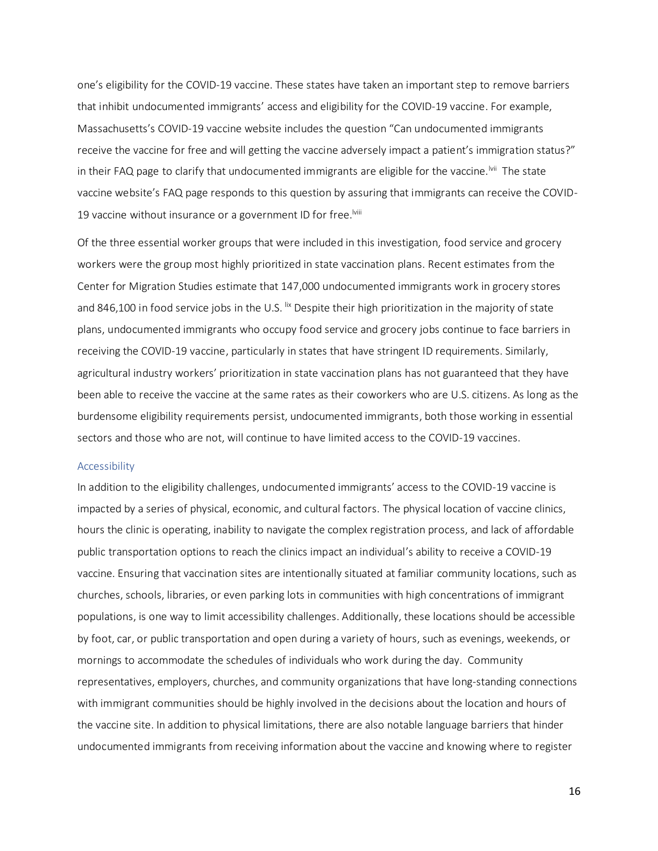one's eligibility for the COVID-19 vaccine. These states have taken an important step to remove barriers that inhibit undocumented immigrants' access and eligibility for the COVID-19 vaccine. For example, Massachusetts's COVID-19 vaccine website includes the question "Can undocumented immigrants receive the vaccine for free and will getting the vaccine adversely impact a patient's immigration status?" in their FAQ page to clarify that undocumented immigrants are eligible for the vaccine.<sup>Ivii</sup> The state vaccine website's FAQ page responds to this question by assuring that immigrants can receive the COVID-19 vaccine without insurance or a government ID for free.<sup>Iviii</sup>

Of the three essential worker groups that were included in this investigation, food service and grocery workers were the group most highly prioritized in state vaccination plans. Recent estimates from the Center for Migration Studies estimate that 147,000 undocumented immigrants work in grocery stores and 846,100 in food service jobs in the U.S. <sup>lix</sup> Despite their high prioritization in the majority of state plans, undocumented immigrants who occupy food service and grocery jobs continue to face barriers in receiving the COVID-19 vaccine, particularly in states that have stringent ID requirements. Similarly, agricultural industry workers' prioritization in state vaccination plans has not guaranteed that they have been able to receive the vaccine at the same rates as their coworkers who are U.S. citizens. As long as the burdensome eligibility requirements persist, undocumented immigrants, both those working in essential sectors and those who are not, will continue to have limited access to the COVID-19 vaccines.

#### <span id="page-16-0"></span>Accessibility

In addition to the eligibility challenges, undocumented immigrants' access to the COVID-19 vaccine is impacted by a series of physical, economic, and cultural factors. The physical location of vaccine clinics, hours the clinic is operating, inability to navigate the complex registration process, and lack of affordable public transportation options to reach the clinics impact an individual's ability to receive a COVID-19 vaccine. Ensuring that vaccination sites are intentionally situated at familiar community locations, such as churches, schools, libraries, or even parking lots in communities with high concentrations of immigrant populations, is one way to limit accessibility challenges. Additionally, these locations should be accessible by foot, car, or public transportation and open during a variety of hours, such as evenings, weekends, or mornings to accommodate the schedules of individuals who work during the day. Community representatives, employers, churches, and community organizations that have long-standing connections with immigrant communities should be highly involved in the decisions about the location and hours of the vaccine site. In addition to physical limitations, there are also notable language barriers that hinder undocumented immigrants from receiving information about the vaccine and knowing where to register

16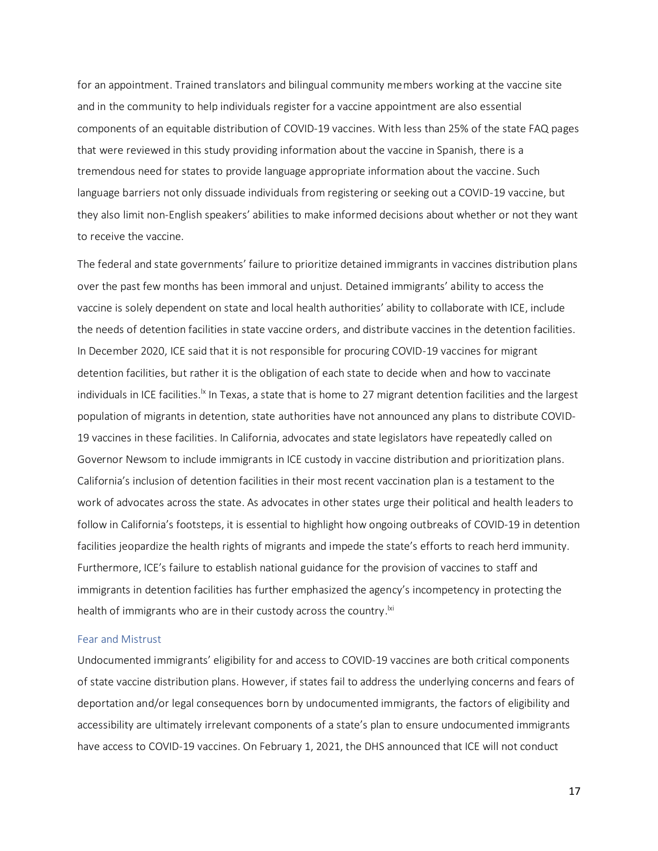for an appointment. Trained translators and bilingual community members working at the vaccine site and in the community to help individuals register for a vaccine appointment are also essential components of an equitable distribution of COVID-19 vaccines. With less than 25% of the state FAQ pages that were reviewed in this study providing information about the vaccine in Spanish, there is a tremendous need for states to provide language appropriate information about the vaccine. Such language barriers not only dissuade individuals from registering or seeking out a COVID-19 vaccine, but they also limit non-English speakers' abilities to make informed decisions about whether or not they want to receive the vaccine.

The federal and state governments' failure to prioritize detained immigrants in vaccines distribution plans over the past few months has been immoral and unjust. Detained immigrants' ability to access the vaccine is solely dependent on state and local health authorities' ability to collaborate with ICE, include the needs of detention facilities in state vaccine orders, and distribute vaccines in the detention facilities. In December 2020, ICE said that it is not responsible for procuring COVID-19 vaccines for migrant detention facilities, but rather it is the obligation of each state to decide when and how to vaccinate individuals in ICE facilities.<sup>Ix</sup> In Texas, a state that is home to 27 migrant detention facilities and the largest population of migrants in detention, state authorities have not announced any plans to distribute COVID-19 vaccines in these facilities. In California, advocates and state legislators have repeatedly called on Governor Newsom to include immigrants in ICE custody in vaccine distribution and prioritization plans. California's inclusion of detention facilities in their most recent vaccination plan is a testament to the work of advocates across the state. As advocates in other states urge their political and health leaders to follow in California's footsteps, it is essential to highlight how ongoing outbreaks of COVID-19 in detention facilities jeopardize the health rights of migrants and impede the state's efforts to reach herd immunity. Furthermore, ICE's failure to establish national guidance for the provision of vaccines to staff and immigrants in detention facilities has further emphasized the agency's incompetency in protecting the health of immigrants who are in their custody across the country.<sup>|xi</sup>

#### <span id="page-17-0"></span>Fear and Mistrust

Undocumented immigrants' eligibility for and access to COVID-19 vaccines are both critical components of state vaccine distribution plans. However, if states fail to address the underlying concerns and fears of deportation and/or legal consequences born by undocumented immigrants, the factors of eligibility and accessibility are ultimately irrelevant components of a state's plan to ensure undocumented immigrants have access to COVID-19 vaccines. On February 1, 2021, the DHS announced that ICE will not conduct

17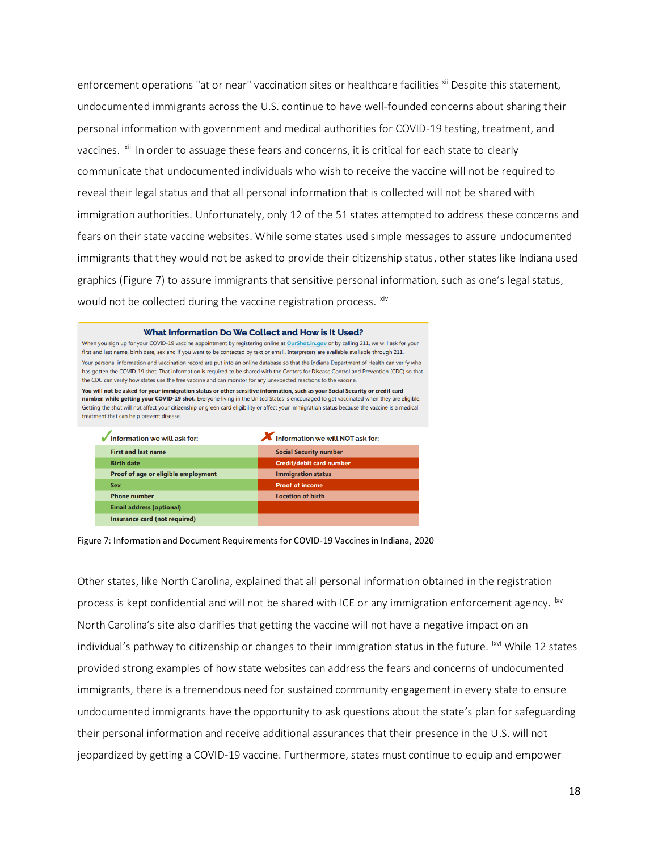enforcement operations "at or near" vaccination sites or healthcare facilities<sup>|xii</sup> Despite this statement, undocumented immigrants across the U.S. continue to have well-founded concerns about sharing their personal information with government and medical authorities for COVID-19 testing, treatment, and vaccines. <sup>Ixiii</sup> In order to assuage these fears and concerns, it is critical for each state to clearly communicate that undocumented individuals who wish to receive the vaccine will not be required to reveal their legal status and that all personal information that is collected will not be shared with immigration authorities. Unfortunately, only 12 of the 51 states attempted to address these concerns and fears on their state vaccine websites. While some states used simple messages to assure undocumented immigrants that they would not be asked to provide their citizenship status, other states like Indiana used graphics (Figure 7) to assure immigrants that sensitive personal information, such as one's legal status, would not be collected during the vaccine registration process. Ixiv

| What Information Do We Collect and How is It Used?<br>When you sign up for your COVID-19 vaccine appointment by registering online at OurShot.in.gov or by calling 211, we will ask for your<br>first and last name, birth date, sex and if you want to be contacted by text or email. Interpreters are available available through 211.<br>Your personal information and vaccination record are put into an online database so that the Indiana Department of Health can verify who<br>has gotten the COVID-19 shot. That information is required to be shared with the Centers for Disease Control and Prevention (CDC) so that |                                  |  |  |
|-----------------------------------------------------------------------------------------------------------------------------------------------------------------------------------------------------------------------------------------------------------------------------------------------------------------------------------------------------------------------------------------------------------------------------------------------------------------------------------------------------------------------------------------------------------------------------------------------------------------------------------|----------------------------------|--|--|
| the CDC can verify how states use the free vaccine and can monitor for any unexpected reactions to the vaccine.<br>You will not be asked for your immigration status or other sensitive information, such as your Social Security or credit card                                                                                                                                                                                                                                                                                                                                                                                  |                                  |  |  |
| number, while getting your COVID-19 shot. Everyone living in the United States is encouraged to get vaccinated when they are eligible.<br>Getting the shot will not affect your citizenship or green card eligibility or affect your immigration status because the vaccine is a medical<br>treatment that can help prevent disease.                                                                                                                                                                                                                                                                                              |                                  |  |  |
| Information we will ask for:                                                                                                                                                                                                                                                                                                                                                                                                                                                                                                                                                                                                      | Information we will NOT ask for: |  |  |
| <b>First and last name</b>                                                                                                                                                                                                                                                                                                                                                                                                                                                                                                                                                                                                        | <b>Social Security number</b>    |  |  |
| <b>Birth date</b>                                                                                                                                                                                                                                                                                                                                                                                                                                                                                                                                                                                                                 | Credit/debit card number         |  |  |
| Proof of age or eligible employment                                                                                                                                                                                                                                                                                                                                                                                                                                                                                                                                                                                               | <b>Immigration status</b>        |  |  |
| <b>Sex</b>                                                                                                                                                                                                                                                                                                                                                                                                                                                                                                                                                                                                                        | <b>Proof of income</b>           |  |  |
| <b>Phone number</b>                                                                                                                                                                                                                                                                                                                                                                                                                                                                                                                                                                                                               | <b>Location of birth</b>         |  |  |
| <b>Email address (optional)</b>                                                                                                                                                                                                                                                                                                                                                                                                                                                                                                                                                                                                   |                                  |  |  |
| Insurance card (not required)                                                                                                                                                                                                                                                                                                                                                                                                                                                                                                                                                                                                     |                                  |  |  |

Figure 7: Information and Document Requirements for COVID-19 Vaccines in Indiana, 2020

Other states, like North Carolina, explained that all personal information obtained in the registration process is kept confidential and will not be shared with ICE or any immigration enforcement agency. <sup>Ixv</sup> North Carolina's site also clarifies that getting the vaccine will not have a negative impact on an individual's pathway to citizenship or changes to their immigration status in the future. <sup>Ixvi</sup> While 12 states provided strong examples of how state websites can address the fears and concerns of undocumented immigrants, there is a tremendous need for sustained community engagement in every state to ensure undocumented immigrants have the opportunity to ask questions about the state's plan for safeguarding their personal information and receive additional assurances that their presence in the U.S. will not jeopardized by getting a COVID-19 vaccine. Furthermore, states must continue to equip and empower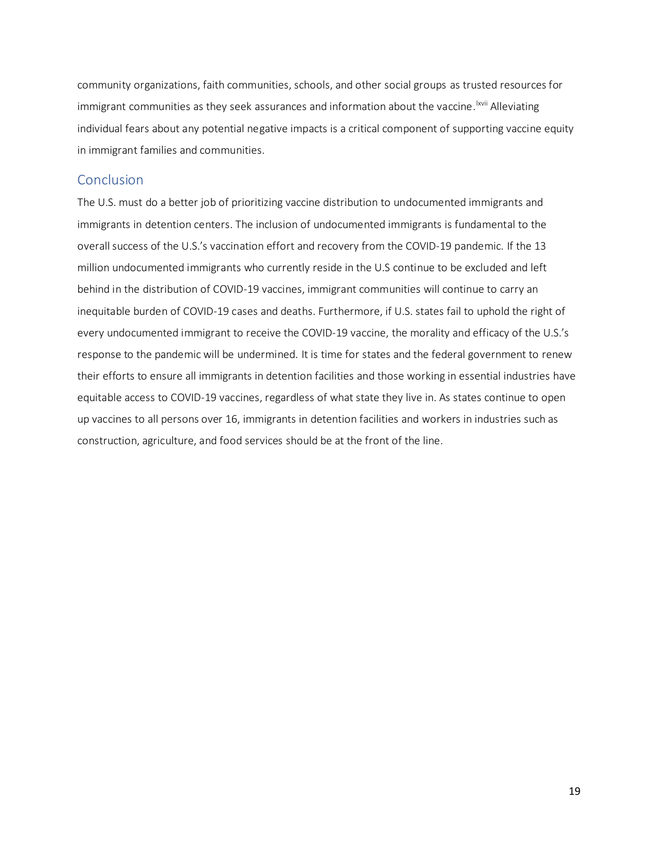community organizations, faith communities, schools, and other social groups as trusted resources for immigrant communities as they seek assurances and information about the vaccine. <sup>Ixvii</sup> Alleviating individual fears about any potential negative impacts is a critical component of supporting vaccine equity in immigrant families and communities.

# <span id="page-19-0"></span>**Conclusion**

The U.S. must do a better job of prioritizing vaccine distribution to undocumented immigrants and immigrants in detention centers. The inclusion of undocumented immigrants is fundamental to the overall success of the U.S.'s vaccination effort and recovery from the COVID-19 pandemic. If the 13 million undocumented immigrants who currently reside in the U.S continue to be excluded and left behind in the distribution of COVID-19 vaccines, immigrant communities will continue to carry an inequitable burden of COVID-19 cases and deaths. Furthermore, if U.S. states fail to uphold the right of every undocumented immigrant to receive the COVID-19 vaccine, the morality and efficacy of the U.S.'s response to the pandemic will be undermined. It is time for states and the federal government to renew their efforts to ensure all immigrants in detention facilities and those working in essential industries have equitable access to COVID-19 vaccines, regardless of what state they live in. As states continue to open up vaccines to all persons over 16, immigrants in detention facilities and workers in industries such as construction, agriculture, and food services should be at the front of the line.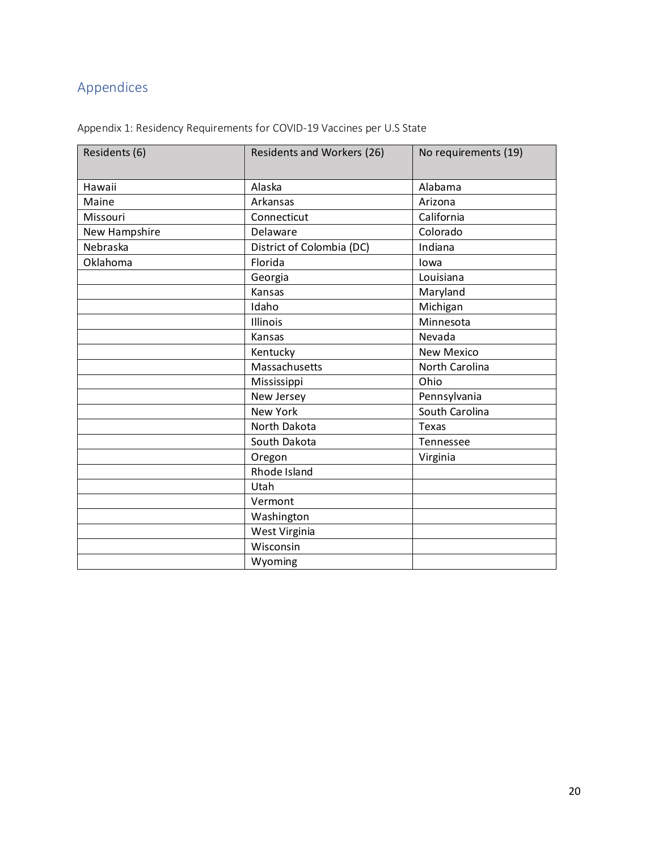# <span id="page-20-0"></span>Appendices

|  | Appendix 1: Residency Requirements for COVID-19 Vaccines per U.S State |  |
|--|------------------------------------------------------------------------|--|
|--|------------------------------------------------------------------------|--|

| Residents (6) | <b>Residents and Workers (26)</b> | No requirements (19) |  |
|---------------|-----------------------------------|----------------------|--|
| Hawaii        | Alaska                            | Alabama              |  |
| Maine         | Arkansas                          | Arizona              |  |
| Missouri      | Connecticut                       | California           |  |
| New Hampshire | Delaware                          | Colorado             |  |
| Nebraska      | District of Colombia (DC)         | Indiana              |  |
| Oklahoma      | Florida                           | lowa                 |  |
|               | Georgia                           | Louisiana            |  |
|               | Kansas                            | Maryland             |  |
|               | Idaho                             | Michigan             |  |
|               | Illinois                          | Minnesota            |  |
|               | Kansas                            | Nevada               |  |
|               | Kentucky                          | <b>New Mexico</b>    |  |
|               | Massachusetts                     | North Carolina       |  |
|               | Mississippi                       | Ohio                 |  |
|               | New Jersey                        | Pennsylvania         |  |
|               | <b>New York</b>                   | South Carolina       |  |
|               | North Dakota                      | Texas                |  |
|               | South Dakota                      | Tennessee            |  |
|               | Oregon                            | Virginia             |  |
|               | Rhode Island                      |                      |  |
|               | Utah                              |                      |  |
|               | Vermont                           |                      |  |
|               | Washington                        |                      |  |
|               | West Virginia                     |                      |  |
|               | Wisconsin                         |                      |  |
|               | Wyoming                           |                      |  |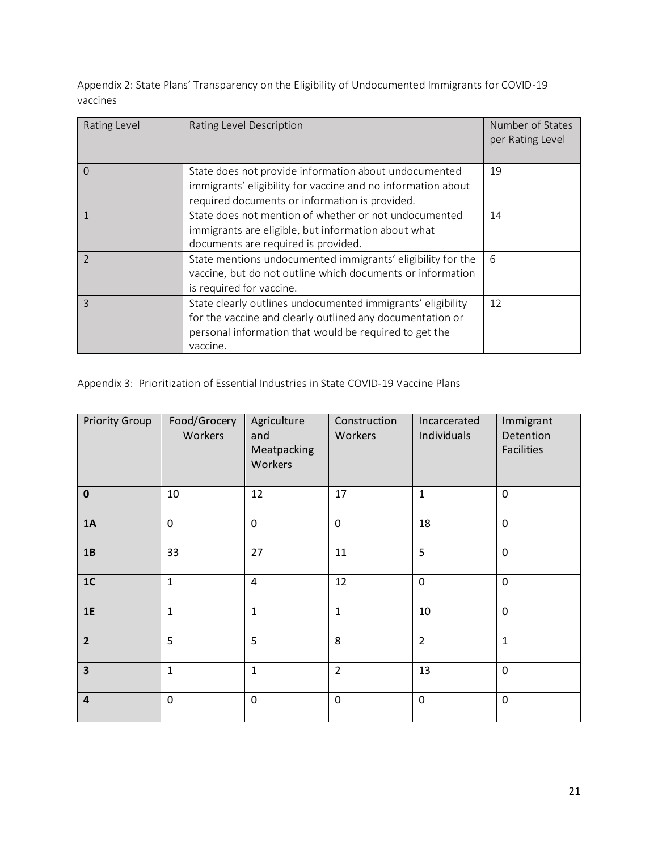Appendix 2: State Plans' Transparency on the Eligibility of Undocumented Immigrants for COVID-19 vaccines

| Rating Level   | Rating Level Description                                                                                                                                                                       | Number of States<br>per Rating Level |
|----------------|------------------------------------------------------------------------------------------------------------------------------------------------------------------------------------------------|--------------------------------------|
| $\Omega$       | State does not provide information about undocumented<br>immigrants' eligibility for vaccine and no information about<br>required documents or information is provided.                        | 19                                   |
|                | State does not mention of whether or not undocumented<br>immigrants are eligible, but information about what<br>documents are required is provided.                                            | 14                                   |
| $\mathfrak{D}$ | State mentions undocumented immigrants' eligibility for the<br>vaccine, but do not outline which documents or information<br>is required for vaccine.                                          | 6                                    |
| $\mathcal{R}$  | State clearly outlines undocumented immigrants' eligibility<br>for the vaccine and clearly outlined any documentation or<br>personal information that would be required to get the<br>vaccine. | 12                                   |

Appendix 3: Prioritization of Essential Industries in State COVID-19 Vaccine Plans

| <b>Priority Group</b>   | Food/Grocery<br>Workers | Agriculture<br>and<br>Meatpacking<br>Workers | Construction<br>Workers | Incarcerated<br>Individuals | Immigrant<br>Detention<br><b>Facilities</b> |
|-------------------------|-------------------------|----------------------------------------------|-------------------------|-----------------------------|---------------------------------------------|
| $\pmb{0}$               | 10                      | 12                                           | 17                      | $\mathbf{1}$                | $\mathbf 0$                                 |
| 1A                      | $\mathbf 0$             | $\mathbf 0$                                  | $\mathbf 0$             | 18                          | $\mathbf 0$                                 |
| 1B                      | 33                      | 27                                           | 11                      | 5                           | $\mathbf 0$                                 |
| 1C                      | $\mathbf{1}$            | $\overline{4}$                               | 12                      | $\mathbf 0$                 | $\mathbf 0$                                 |
| 1E                      | $\mathbf{1}$            | $\mathbf 1$                                  | $\mathbf{1}$            | 10                          | $\mathbf 0$                                 |
| $\overline{2}$          | 5                       | 5                                            | 8                       | $\overline{2}$              | $\mathbf 1$                                 |
| $\overline{\mathbf{3}}$ | $\mathbf{1}$            | $\mathbf 1$                                  | $\overline{2}$          | 13                          | $\mathbf 0$                                 |
| $\overline{\mathbf{4}}$ | $\mathbf 0$             | $\mathbf 0$                                  | $\mathbf 0$             | $\mathbf 0$                 | $\pmb{0}$                                   |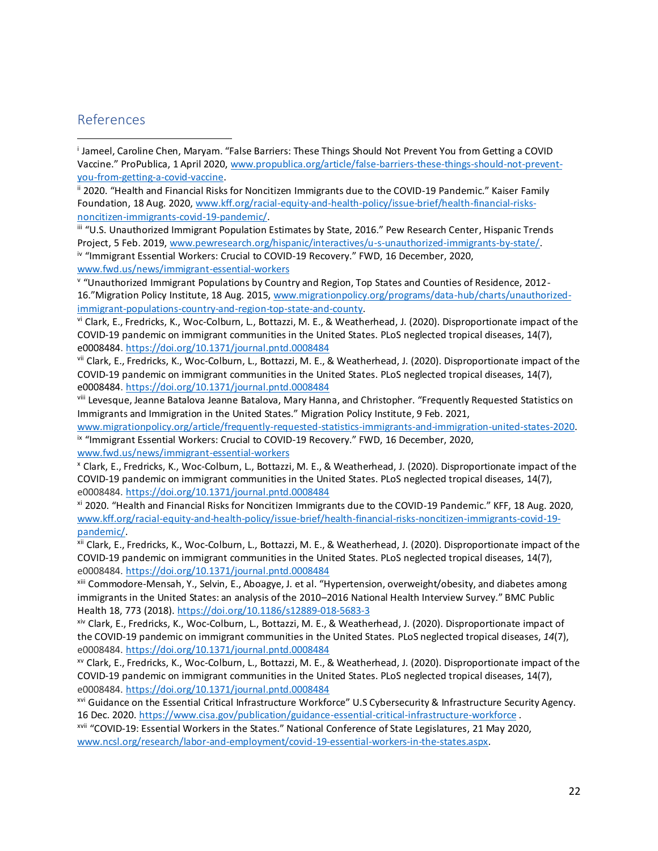# <span id="page-22-0"></span>References

i Jameel, Caroline Chen, Maryam. "False Barriers: These Things Should Not Prevent You from Getting a COVID Vaccine." ProPublica, 1 April 2020, [www.propublica.org/article/false-barriers-these-things-should-not-prevent](http://www.propublica.org/article/false-barriers-these-things-should-not-prevent-you-from-getting-a-covid-vaccine)[you-from-getting-a-covid-vaccine.](http://www.propublica.org/article/false-barriers-these-things-should-not-prevent-you-from-getting-a-covid-vaccine)

ii 2020. "Health and Financial Risks for Noncitizen Immigrants due to the COVID-19 Pandemic." Kaiser Family Foundation, 18 Aug. 2020[, www.kff.org/racial-equity-and-health-policy/issue-brief/health-financial-risks](http://www.kff.org/racial-equity-and-health-policy/issue-brief/health-financial-risks-noncitizen-immigrants-covid-19-pandemic/)[noncitizen-immigrants-covid-19-pandemic/.](http://www.kff.org/racial-equity-and-health-policy/issue-brief/health-financial-risks-noncitizen-immigrants-covid-19-pandemic/)

iii "U.S. Unauthorized Immigrant Population Estimates by State, 2016." Pew Research Center, Hispanic Trends Project, 5 Feb. 2019[, www.pewresearch.org/hispanic/interactives/u-s-unauthorized-immigrants-by-state/.](http://www.pewresearch.org/hispanic/interactives/u-s-unauthorized-immigrants-by-state/) iv "Immigrant Essential Workers: Crucial to COVID-19 Recovery." FWD, 16 December, 2020, [www.fwd.us/news/immigrant-essential-workers](http://www.fwd.us/news/immigrant-essential-workers)

v "Unauthorized Immigrant Populations by Country and Region, Top States and Counties of Residence, 2012- 16."Migration Policy Institute, 18 Aug. 2015[, www.migrationpolicy.org/programs/data-hub/charts/unauthorized](http://www.migrationpolicy.org/programs/data-hub/charts/unauthorized-immigrant-populations-country-and-region-top-state-and-county)[immigrant-populations-country-and-region-top-state-and-county.](http://www.migrationpolicy.org/programs/data-hub/charts/unauthorized-immigrant-populations-country-and-region-top-state-and-county)

vi Clark, E., Fredricks, K., Woc-Colburn, L., Bottazzi, M. E., & Weatherhead, J. (2020). Disproportionate impact of the COVID-19 pandemic on immigrant communities in the United States. PLoS neglected tropical diseases, 14(7), e0008484.<https://doi.org/10.1371/journal.pntd.0008484>

vii Clark, E., Fredricks, K., Woc-Colburn, L., Bottazzi, M. E., & Weatherhead, J. (2020). Disproportionate impact of the COVID-19 pandemic on immigrant communities in the United States. PLoS neglected tropical diseases, 14(7), e0008484.<https://doi.org/10.1371/journal.pntd.0008484>

viii Levesque, Jeanne Batalova Jeanne Batalova, Mary Hanna, and Christopher. "Frequently Requested Statistics on Immigrants and Immigration in the United States." Migration Policy Institute, 9 Feb. 2021,

[www.migrationpolicy.org/article/frequently-requested-statistics-immigrants-and-immigration-united-states-2020.](http://www.migrationpolicy.org/article/frequently-requested-statistics-immigrants-and-immigration-united-states-2020) ix "Immigrant Essential Workers: Crucial to COVID-19 Recovery." FWD, 16 December, 2020, [www.fwd.us/news/immigrant-essential-workers](http://www.fwd.us/news/immigrant-essential-workers)

<sup>x</sup> Clark, E., Fredricks, K., Woc-Colburn, L., Bottazzi, M. E., & Weatherhead, J. (2020). Disproportionate impact of the COVID-19 pandemic on immigrant communities in the United States. PLoS neglected tropical diseases, 14(7), e0008484.<https://doi.org/10.1371/journal.pntd.0008484>

xi 2020. "Health and Financial Risks for Noncitizen Immigrants due to the COVID-19 Pandemic." KFF, 18 Aug. 2020, [www.kff.org/racial-equity-and-health-policy/issue-brief/health-financial-risks-noncitizen-immigrants-covid-19](http://www.kff.org/racial-equity-and-health-policy/issue-brief/health-financial-risks-noncitizen-immigrants-covid-19-pandemic/) [pandemic/.](http://www.kff.org/racial-equity-and-health-policy/issue-brief/health-financial-risks-noncitizen-immigrants-covid-19-pandemic/)

xii Clark, E., Fredricks, K., Woc-Colburn, L., Bottazzi, M. E., & Weatherhead, J. (2020). Disproportionate impact of the COVID-19 pandemic on immigrant communities in the United States. PLoS neglected tropical diseases, 14(7), e0008484.<https://doi.org/10.1371/journal.pntd.0008484>

xiii Commodore-Mensah, Y., Selvin, E., Aboagye, J. et al. "Hypertension, overweight/obesity, and diabetes among immigrants in the United States: an analysis of the 2010–2016 National Health Interview Survey." BMC Public Health 18, 773 (2018)[. https://doi.org/10.1186/s12889-018-5683-3](https://doi.org/10.1186/s12889-018-5683-3)

xiv Clark, E., Fredricks, K., Woc-Colburn, L., Bottazzi, M. E., & Weatherhead, J. (2020). Disproportionate impact of the COVID-19 pandemic on immigrant communities in the United States. PLoS neglected tropical diseases, *14*(7), e0008484.<https://doi.org/10.1371/journal.pntd.0008484>

xv Clark, E., Fredricks, K., Woc-Colburn, L., Bottazzi, M. E., & Weatherhead, J. (2020). Disproportionate impact of the COVID-19 pandemic on immigrant communities in the United States. PLoS neglected tropical diseases, 14(7), e0008484.<https://doi.org/10.1371/journal.pntd.0008484>

xvi Guidance on the Essential Critical Infrastructure Workforce" U.S Cybersecurity & Infrastructure Security Agency. 16 Dec. 2020[. https://www.cisa.gov/publication/guidance-essential-critical-infrastructure-workforce](https://www.cisa.gov/publication/guidance-essential-critical-infrastructure-workforce) .

xvii "COVID-19: Essential Workers in the States." National Conference of State Legislatures, 21 May 2020, [www.ncsl.org/research/labor-and-employment/covid-19-essential-workers-in-the-states.aspx.](http://www.ncsl.org/research/labor-and-employment/covid-19-essential-workers-in-the-states.aspx)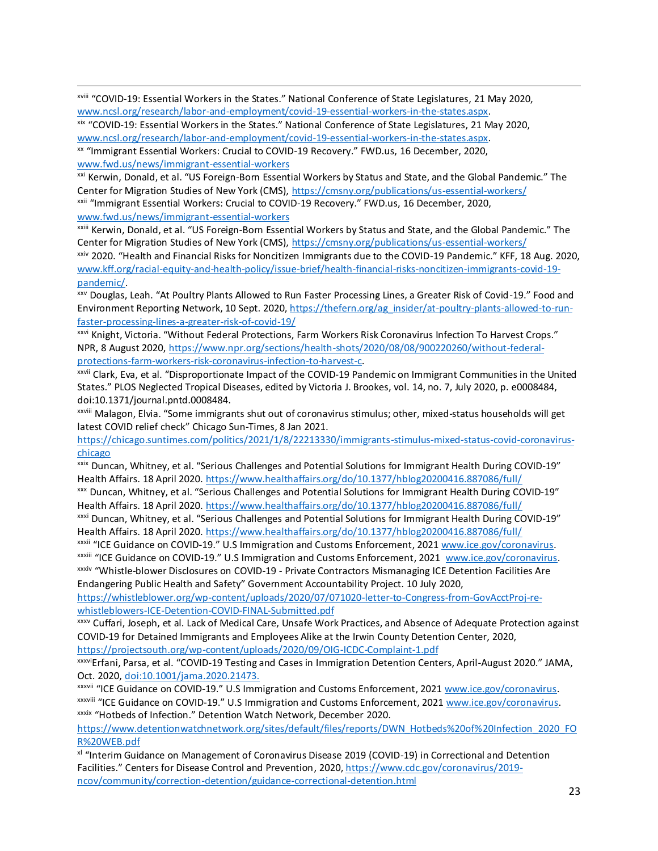xviii "COVID-19: Essential Workers in the States." National Conference of State Legislatures, 21 May 2020, [www.ncsl.org/research/labor-and-employment/covid-19-essential-workers-in-the-states.aspx.](http://www.ncsl.org/research/labor-and-employment/covid-19-essential-workers-in-the-states.aspx)

xix "COVID-19: Essential Workers in the States." National Conference of State Legislatures, 21 May 2020, [www.ncsl.org/research/labor-and-employment/covid-19-essential-workers-in-the-states.aspx.](http://www.ncsl.org/research/labor-and-employment/covid-19-essential-workers-in-the-states.aspx)

xx "Immigrant Essential Workers: Crucial to COVID-19 Recovery." FWD.us, 16 December, 2020, [www.fwd.us/news/immigrant-essential-workers](http://www.fwd.us/news/immigrant-essential-workers)

xxi Kerwin, Donald, et al. "US Foreign-Born Essential Workers by Status and State, and the Global Pandemic." The Center for Migration Studies of New York (CMS),<https://cmsny.org/publications/us-essential-workers/> xxii "Immigrant Essential Workers: Crucial to COVID-19 Recovery." FWD.us, 16 December, 2020, [www.fwd.us/news/immigrant-essential-workers](http://www.fwd.us/news/immigrant-essential-workers)

xxiii Kerwin, Donald, et al. "US Foreign-Born Essential Workers by Status and State, and the Global Pandemic." The Center for Migration Studies of New York (CMS),<https://cmsny.org/publications/us-essential-workers/>

xxiv 2020. "Health and Financial Risks for Noncitizen Immigrants due to the COVID-19 Pandemic." KFF, 18 Aug. 2020, [www.kff.org/racial-equity-and-health-policy/issue-brief/health-financial-risks-noncitizen-immigrants-covid-19](http://www.kff.org/racial-equity-and-health-policy/issue-brief/health-financial-risks-noncitizen-immigrants-covid-19-pandemic/) [pandemic/.](http://www.kff.org/racial-equity-and-health-policy/issue-brief/health-financial-risks-noncitizen-immigrants-covid-19-pandemic/)

xxv Douglas, Leah. "At Poultry Plants Allowed to Run Faster Processing Lines, a Greater Risk of Covid-19." Food and Environment Reporting Network, 10 Sept. 2020[, https://thefern.org/ag\\_insider/at-poultry-plants-allowed-to-run](https://thefern.org/ag_insider/at-poultry-plants-allowed-to-run-faster-processing-lines-a-greater-risk-of-covid-19/)[faster-processing-lines-a-greater-risk-of-covid-19/](https://thefern.org/ag_insider/at-poultry-plants-allowed-to-run-faster-processing-lines-a-greater-risk-of-covid-19/)

xxvi Knight, Victoria. "Without Federal Protections, Farm Workers Risk Coronavirus Infection To Harvest Crops." NPR, 8 August 2020[, https://www.npr.org/sections/health-shots/2020/08/08/900220260/without-federal](https://www.npr.org/sections/health-shots/2020/08/08/900220260/without-federal-protections-farm-workers-risk-coronavirus-infection-to-harvest-c)[protections-farm-workers-risk-coronavirus-infection-to-harvest-c.](https://www.npr.org/sections/health-shots/2020/08/08/900220260/without-federal-protections-farm-workers-risk-coronavirus-infection-to-harvest-c)

xxvii Clark, Eva, et al. "Disproportionate Impact of the COVID-19 Pandemic on Immigrant Communities in the United States." PLOS Neglected Tropical Diseases, edited by Victoria J. Brookes, vol. 14, no. 7, July 2020, p. e0008484, doi:10.1371/journal.pntd.0008484.

xxviii Malagon, Elvia. "Some immigrants shut out of coronavirus stimulus; other, mixed-status households will get latest COVID relief check" Chicago Sun-Times, 8 Jan 2021.

[https://chicago.suntimes.com/politics/2021/1/8/22213330/immigrants-stimulus-mixed-status-covid-coronavirus](https://chicago.suntimes.com/politics/2021/1/8/22213330/immigrants-stimulus-mixed-status-covid-coronavirus-chicago)[chicago](https://chicago.suntimes.com/politics/2021/1/8/22213330/immigrants-stimulus-mixed-status-covid-coronavirus-chicago)

xxix Duncan, Whitney, et al. "Serious Challenges and Potential Solutions for Immigrant Health During COVID-19" Health Affairs. 18 April 2020.<https://www.healthaffairs.org/do/10.1377/hblog20200416.887086/full/>

xxx Duncan, Whitney, et al. "Serious Challenges and Potential Solutions for Immigrant Health During COVID-19" Health Affairs. 18 April 2020.<https://www.healthaffairs.org/do/10.1377/hblog20200416.887086/full/>

xxxi Duncan, Whitney, et al. "Serious Challenges and Potential Solutions for Immigrant Health During COVID-19" Health Affairs. 18 April 2020.<https://www.healthaffairs.org/do/10.1377/hblog20200416.887086/full/>

xxxii "ICE Guidance on COVID-19." U.S Immigration and Customs Enforcement, 2021 [www.ice.gov/coronavirus.](http://www.ice.gov/coronavirus) xxxiii "ICE Guidance on COVID-19." U.S Immigration and Customs Enforcement, 2021 [www.ice.gov/coronavirus.](http://www.ice.gov/coronavirus)

xxxiv "Whistle-blower Disclosures on COVID-19 - Private Contractors Mismanaging ICE Detention Facilities Are Endangering Public Health and Safety" Government Accountability Project. 10 July 2020,

[https://whistleblower.org/wp-content/uploads/2020/07/071020-letter-to-Congress-from-GovAcctProj-re](https://whistleblower.org/wp-content/uploads/2020/07/071020-letter-to-Congress-from-GovAcctProj-re-whistleblowers-ICE-Detention-COVID-FINAL-Submitted.pdf)[whistleblowers-ICE-Detention-COVID-FINAL-Submitted.pdf](https://whistleblower.org/wp-content/uploads/2020/07/071020-letter-to-Congress-from-GovAcctProj-re-whistleblowers-ICE-Detention-COVID-FINAL-Submitted.pdf)

xxxv Cuffari, Joseph, et al. Lack of Medical Care, Unsafe Work Practices, and Absence of Adequate Protection against COVID-19 for Detained Immigrants and Employees Alike at the Irwin County Detention Center, 2020, <https://projectsouth.org/wp-content/uploads/2020/09/OIG-ICDC-Complaint-1.pdf>

xxxviErfani, Parsa, et al. "COVID-19 Testing and Cases in Immigration Detention Centers, April-August 2020." JAMA, Oct. 2020, [doi:10.1001/jama.2020.21473.](https://jamanetwork.com/journals/jama/fullarticle/2772627) 

xxxvii "ICE Guidance on COVID-19." U.S Immigration and Customs Enforcement, 2021 [www.ice.gov/coronavirus.](http://www.ice.gov/coronavirus) xxxviii "ICE Guidance on COVID-19." U.S Immigration and Customs Enforcement, 2021 [www.ice.gov/coronavirus.](http://www.ice.gov/coronavirus) xxxix "Hotbeds of Infection." Detention Watch Network, December 2020.

[https://www.detentionwatchnetwork.org/sites/default/files/reports/DWN\\_Hotbeds%20of%20Infection\\_2020\\_FO](https://www.detentionwatchnetwork.org/sites/default/files/reports/DWN_Hotbeds%20of%20Infection_2020_FOR%20WEB.pdf) [R%20WEB.pdf](https://www.detentionwatchnetwork.org/sites/default/files/reports/DWN_Hotbeds%20of%20Infection_2020_FOR%20WEB.pdf)

xl "Interim Guidance on Management of Coronavirus Disease 2019 (COVID-19) in Correctional and Detention Facilities." Centers for Disease Control and Prevention, 2020, [https://www.cdc.gov/coronavirus/2019](https://www.cdc.gov/coronavirus/2019-ncov/community/correction-detention/guidance-correctional-detention.html) [ncov/community/correction-detention/guidance-correctional-detention.html](https://www.cdc.gov/coronavirus/2019-ncov/community/correction-detention/guidance-correctional-detention.html)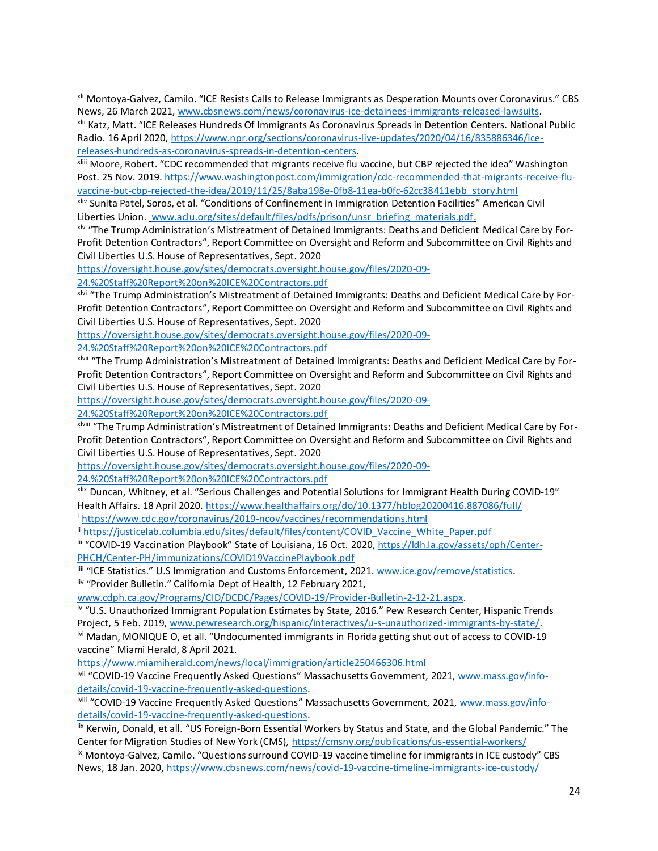xli Montoya-Galvez, Camilo. "ICE Resists Calls to Release Immigrants as Desperation Mounts over Coronavirus." CBS News, 26 March 2021, [www.cbsnews.com/news/coronavirus-ice-detainees-immigrants-released-lawsuits.](http://www.cbsnews.com/news/coronavirus-ice-detainees-immigrants-released-lawsuits)

xlii Katz, Matt. "ICE Releases Hundreds Of Immigrants As Coronavirus Spreads in Detention Centers. National Public Radio. 16 April 2020[, https://www.npr.org/sections/coronavirus-live-updates/2020/04/16/835886346/ice](https://www.npr.org/sections/coronavirus-live-updates/2020/04/16/835886346/ice-releases-hundreds-as-coronavirus-spreads-in-detention-centers)[releases-hundreds-as-coronavirus-spreads-in-detention-centers.](https://www.npr.org/sections/coronavirus-live-updates/2020/04/16/835886346/ice-releases-hundreds-as-coronavirus-spreads-in-detention-centers)

xliii Moore, Robert. "CDC recommended that migrants receive flu vaccine, but CBP rejected the idea" Washington Post. 25 Nov. 2019[. https://www.washingtonpost.com/immigration/cdc-recommended-that-migrants-receive-flu](https://www.washingtonpost.com/immigration/cdc-recommended-that-migrants-receive-flu-vaccine-but-cbp-rejected-the-idea/2019/11/25/8aba198e-0fb8-11ea-b0fc-62cc38411ebb_story.html)[vaccine-but-cbp-rejected-the-idea/2019/11/25/8aba198e-0fb8-11ea-b0fc-62cc38411ebb\\_story.html](https://www.washingtonpost.com/immigration/cdc-recommended-that-migrants-receive-flu-vaccine-but-cbp-rejected-the-idea/2019/11/25/8aba198e-0fb8-11ea-b0fc-62cc38411ebb_story.html)

xliv Sunita Patel, Soros, et al. "Conditions of Confinement in Immigration Detention Facilities" American Civil Liberties Union. [www.aclu.org/sites/default/files/pdfs/prison/unsr\\_briefing\\_materials.pdf.](http://www.aclu.org/sites/default/files/pdfs/prison/unsr_briefing_materials.pdf)

<sup>xlv</sup> "The Trump Administration's Mistreatment of Detained Immigrants: Deaths and Deficient Medical Care by For-Profit Detention Contractors", Report Committee on Oversight and Reform and Subcommittee on Civil Rights and Civil Liberties U.S. House of Representatives, Sept. 2020

[https://oversight.house.gov/sites/democrats.oversight.house.gov/files/2020-09-](https://oversight.house.gov/sites/democrats.oversight.house.gov/files/2020-09-24.%20Staff%20Report%20on%20ICE%20Contractors.pdf)

[24.%20Staff%20Report%20on%20ICE%20Contractors.pdf](https://oversight.house.gov/sites/democrats.oversight.house.gov/files/2020-09-24.%20Staff%20Report%20on%20ICE%20Contractors.pdf)

<sup>xlvi</sup> "The Trump Administration's Mistreatment of Detained Immigrants: Deaths and Deficient Medical Care by For-Profit Detention Contractors", Report Committee on Oversight and Reform and Subcommittee on Civil Rights and Civil Liberties U.S. House of Representatives, Sept. 2020

[https://oversight.house.gov/sites/democrats.oversight.house.gov/files/2020-09-](https://oversight.house.gov/sites/democrats.oversight.house.gov/files/2020-09-24.%20Staff%20Report%20on%20ICE%20Contractors.pdf)

[24.%20Staff%20Report%20on%20ICE%20Contractors.pdf](https://oversight.house.gov/sites/democrats.oversight.house.gov/files/2020-09-24.%20Staff%20Report%20on%20ICE%20Contractors.pdf)

xlvii "The Trump Administration's Mistreatment of Detained Immigrants: Deaths and Deficient Medical Care by For-Profit Detention Contractors", Report Committee on Oversight and Reform and Subcommittee on Civil Rights and Civil Liberties U.S. House of Representatives, Sept. 2020

[https://oversight.house.gov/sites/democrats.oversight.house.gov/files/2020-09-](https://oversight.house.gov/sites/democrats.oversight.house.gov/files/2020-09-24.%20Staff%20Report%20on%20ICE%20Contractors.pdf)

[24.%20Staff%20Report%20on%20ICE%20Contractors.pdf](https://oversight.house.gov/sites/democrats.oversight.house.gov/files/2020-09-24.%20Staff%20Report%20on%20ICE%20Contractors.pdf)

xlviii "The Trump Administration's Mistreatment of Detained Immigrants: Deaths and Deficient Medical Care by For-Profit Detention Contractors", Report Committee on Oversight and Reform and Subcommittee on Civil Rights and Civil Liberties U.S. House of Representatives, Sept. 2020

[https://oversight.house.gov/sites/democrats.oversight.house.gov/files/2020-09-](https://oversight.house.gov/sites/democrats.oversight.house.gov/files/2020-09-24.%20Staff%20Report%20on%20ICE%20Contractors.pdf)

[24.%20Staff%20Report%20on%20ICE%20Contractors.pdf](https://oversight.house.gov/sites/democrats.oversight.house.gov/files/2020-09-24.%20Staff%20Report%20on%20ICE%20Contractors.pdf)

xlix Duncan, Whitney, et al. "Serious Challenges and Potential Solutions for Immigrant Health During COVID-19" Health Affairs. 18 April 2020.<https://www.healthaffairs.org/do/10.1377/hblog20200416.887086/full/> <sup>l</sup> <https://www.cdc.gov/coronavirus/2019-ncov/vaccines/recommendations.html>

li [https://justicelab.columbia.edu/sites/default/files/content/COVID\\_Vaccine\\_White\\_Paper.pdf](https://justicelab.columbia.edu/sites/default/files/content/COVID_Vaccine_White_Paper.pdf)

lii "COVID-19 Vaccination Playbook" State of Louisiana, 16 Oct. 2020[, https://ldh.la.gov/assets/oph/Center-](https://ldh.la.gov/assets/oph/Center-PHCH/Center-PH/immunizations/COVID19VaccinePlaybook.pdf)[PHCH/Center-PH/immunizations/COVID19VaccinePlaybook.pdf](https://ldh.la.gov/assets/oph/Center-PHCH/Center-PH/immunizations/COVID19VaccinePlaybook.pdf)

liii "ICE Statistics." U.S Immigration and Customs Enforcement, 2021[. www.ice.gov/remove/statistics.](http://www.ice.gov/remove/statistics) liv "Provider Bulletin." California Dept of Health, 12 February 2021,

[www.cdph.ca.gov/Programs/CID/DCDC/Pages/COVID-19/Provider-Bulletin-2-12-21.aspx.](http://www.cdph.ca.gov/Programs/CID/DCDC/Pages/COVID-19/Provider-Bulletin-2-12-21.aspx)

lv "U.S. Unauthorized Immigrant Population Estimates by State, 2016." Pew Research Center, Hispanic Trends Project, 5 Feb. 2019[, www.pewresearch.org/hispanic/interactives/u-s-unauthorized-immigrants-by-state/.](http://www.pewresearch.org/hispanic/interactives/u-s-unauthorized-immigrants-by-state/) lvi Madan, MONIQUE O, et all. "Undocumented immigrants in Florida getting shut out of access to COVID-19 vaccine" Miami Herald, 8 April 2021.

<https://www.miamiherald.com/news/local/immigration/article250466306.html>

lvii "COVID-19 Vaccine Frequently Asked Questions" Massachusetts Government, 2021, [www.mass.gov/info](http://www.mass.gov/info-details/covid-19-vaccine-frequently-asked-questions)[details/covid-19-vaccine-frequently-asked-questions.](http://www.mass.gov/info-details/covid-19-vaccine-frequently-asked-questions)

lviii "COVID-19 Vaccine Frequently Asked Questions" Massachusetts Government, 2021, [www.mass.gov/info](http://www.mass.gov/info-details/covid-19-vaccine-frequently-asked-questions)[details/covid-19-vaccine-frequently-asked-questions.](http://www.mass.gov/info-details/covid-19-vaccine-frequently-asked-questions)

lix Kerwin, Donald, et all. "US Foreign-Born Essential Workers by Status and State, and the Global Pandemic." The Center for Migration Studies of New York (CMS),<https://cmsny.org/publications/us-essential-workers/>

<sup>1x</sup> Montoya-Galvez, Camilo. "Questions surround COVID-19 vaccine timeline for immigrants in ICE custody" CBS News, 18 Jan. 2020[, https://www.cbsnews.com/news/covid-19-vaccine-timeline-immigrants-ice-custody/](https://www.cbsnews.com/news/covid-19-vaccine-timeline-immigrants-ice-custody/)